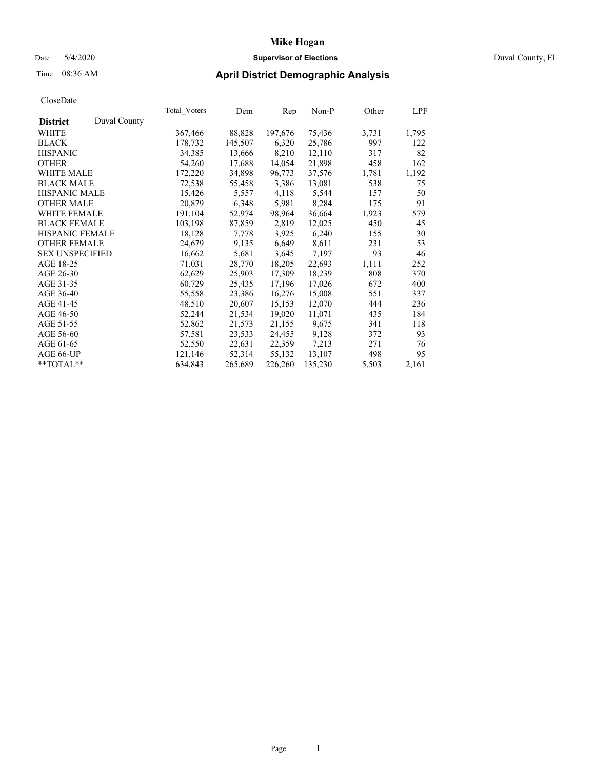# Date 5/4/2020 **Supervisor of Elections** Duval County, FL

# Time 08:36 AM **April District Demographic Analysis**

|                        |              | <b>Total Voters</b> | Dem     | Rep     | Non-P   | Other | LPF   |
|------------------------|--------------|---------------------|---------|---------|---------|-------|-------|
| <b>District</b>        | Duval County |                     |         |         |         |       |       |
| WHITE                  |              | 367,466             | 88,828  | 197,676 | 75,436  | 3,731 | 1,795 |
| <b>BLACK</b>           |              | 178,732             | 145,507 | 6,320   | 25,786  | 997   | 122   |
| <b>HISPANIC</b>        |              | 34,385              | 13,666  | 8,210   | 12,110  | 317   | 82    |
| <b>OTHER</b>           |              | 54,260              | 17,688  | 14,054  | 21,898  | 458   | 162   |
| <b>WHITE MALE</b>      |              | 172,220             | 34,898  | 96,773  | 37,576  | 1,781 | 1,192 |
| <b>BLACK MALE</b>      |              | 72,538              | 55,458  | 3,386   | 13,081  | 538   | 75    |
| <b>HISPANIC MALE</b>   |              | 15,426              | 5,557   | 4,118   | 5,544   | 157   | 50    |
| <b>OTHER MALE</b>      |              | 20,879              | 6,348   | 5,981   | 8,284   | 175   | 91    |
| <b>WHITE FEMALE</b>    |              | 191,104             | 52,974  | 98,964  | 36,664  | 1,923 | 579   |
| <b>BLACK FEMALE</b>    |              | 103,198             | 87,859  | 2,819   | 12,025  | 450   | 45    |
| <b>HISPANIC FEMALE</b> |              | 18,128              | 7,778   | 3,925   | 6,240   | 155   | 30    |
| <b>OTHER FEMALE</b>    |              | 24,679              | 9,135   | 6,649   | 8,611   | 231   | 53    |
| <b>SEX UNSPECIFIED</b> |              | 16,662              | 5,681   | 3,645   | 7,197   | 93    | 46    |
| AGE 18-25              |              | 71,031              | 28,770  | 18,205  | 22,693  | 1,111 | 252   |
| AGE 26-30              |              | 62,629              | 25,903  | 17,309  | 18,239  | 808   | 370   |
| AGE 31-35              |              | 60,729              | 25,435  | 17,196  | 17,026  | 672   | 400   |
| AGE 36-40              |              | 55,558              | 23,386  | 16,276  | 15,008  | 551   | 337   |
| AGE 41-45              |              | 48,510              | 20,607  | 15,153  | 12,070  | 444   | 236   |
| AGE 46-50              |              | 52,244              | 21,534  | 19,020  | 11,071  | 435   | 184   |
| AGE 51-55              |              | 52,862              | 21,573  | 21,155  | 9,675   | 341   | 118   |
| AGE 56-60              |              | 57,581              | 23,533  | 24,455  | 9,128   | 372   | 93    |
| AGE 61-65              |              | 52,550              | 22,631  | 22,359  | 7,213   | 271   | 76    |
| AGE 66-UP              |              | 121,146             | 52,314  | 55,132  | 13,107  | 498   | 95    |
| $*$ TOTAL $*$          |              | 634,843             | 265,689 | 226,260 | 135,230 | 5,503 | 2,161 |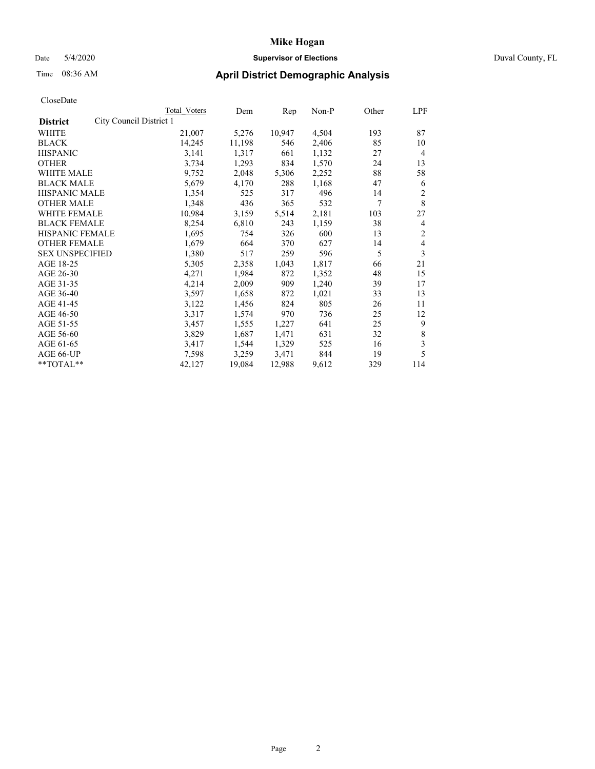Date 5/4/2020 **Supervisor of Elections** Duval County, FL

# Time 08:36 AM **April District Demographic Analysis**

|                                            | Total Voters | Dem    | Rep    | Non-P | Other | LPF            |
|--------------------------------------------|--------------|--------|--------|-------|-------|----------------|
| City Council District 1<br><b>District</b> |              |        |        |       |       |                |
| <b>WHITE</b>                               | 21,007       | 5,276  | 10,947 | 4,504 | 193   | 87             |
| <b>BLACK</b>                               | 14,245       | 11,198 | 546    | 2,406 | 85    | 10             |
| <b>HISPANIC</b>                            | 3,141        | 1,317  | 661    | 1,132 | 27    | $\overline{4}$ |
| <b>OTHER</b>                               | 3,734        | 1,293  | 834    | 1,570 | 24    | 13             |
| <b>WHITE MALE</b>                          | 9,752        | 2,048  | 5,306  | 2,252 | 88    | 58             |
| <b>BLACK MALE</b>                          | 5,679        | 4,170  | 288    | 1,168 | 47    | 6              |
| <b>HISPANIC MALE</b>                       | 1,354        | 525    | 317    | 496   | 14    | $\overline{2}$ |
| <b>OTHER MALE</b>                          | 1,348        | 436    | 365    | 532   | 7     | 8              |
| <b>WHITE FEMALE</b>                        | 10,984       | 3,159  | 5,514  | 2,181 | 103   | 27             |
| <b>BLACK FEMALE</b>                        | 8,254        | 6,810  | 243    | 1,159 | 38    | 4              |
| HISPANIC FEMALE                            | 1,695        | 754    | 326    | 600   | 13    | $\overline{2}$ |
| <b>OTHER FEMALE</b>                        | 1,679        | 664    | 370    | 627   | 14    | 4              |
| <b>SEX UNSPECIFIED</b>                     | 1,380        | 517    | 259    | 596   | 5     | 3              |
| AGE 18-25                                  | 5,305        | 2,358  | 1,043  | 1,817 | 66    | 21             |
| AGE 26-30                                  | 4,271        | 1,984  | 872    | 1,352 | 48    | 15             |
| AGE 31-35                                  | 4,214        | 2,009  | 909    | 1,240 | 39    | 17             |
| AGE 36-40                                  | 3,597        | 1,658  | 872    | 1,021 | 33    | 13             |
| AGE 41-45                                  | 3,122        | 1,456  | 824    | 805   | 26    | 11             |
| AGE 46-50                                  | 3,317        | 1,574  | 970    | 736   | 25    | 12             |
| AGE 51-55                                  | 3,457        | 1,555  | 1,227  | 641   | 25    | 9              |
| AGE 56-60                                  | 3,829        | 1,687  | 1,471  | 631   | 32    | $\,$ 8 $\,$    |
| AGE 61-65                                  | 3,417        | 1,544  | 1,329  | 525   | 16    | 3              |
| AGE 66-UP                                  | 7,598        | 3,259  | 3,471  | 844   | 19    | 5              |
| **TOTAL**                                  | 42,127       | 19,084 | 12,988 | 9,612 | 329   | 114            |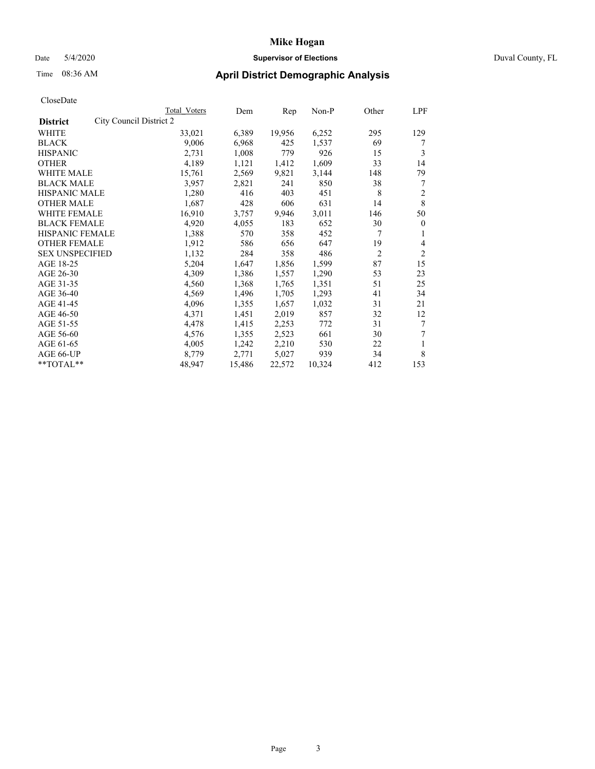# Date 5/4/2020 **Supervisor of Elections** Duval County, FL

# Time 08:36 AM **April District Demographic Analysis**

|                                            | Total Voters | Dem    | Rep    | Non-P  | Other          | LPF            |
|--------------------------------------------|--------------|--------|--------|--------|----------------|----------------|
| City Council District 2<br><b>District</b> |              |        |        |        |                |                |
| WHITE                                      | 33,021       | 6,389  | 19,956 | 6,252  | 295            | 129            |
| <b>BLACK</b>                               | 9,006        | 6,968  | 425    | 1,537  | 69             | 7              |
| <b>HISPANIC</b>                            | 2,731        | 1,008  | 779    | 926    | 15             | 3              |
| <b>OTHER</b>                               | 4,189        | 1,121  | 1,412  | 1,609  | 33             | 14             |
| WHITE MALE                                 | 15,761       | 2,569  | 9,821  | 3,144  | 148            | 79             |
| <b>BLACK MALE</b>                          | 3,957        | 2,821  | 241    | 850    | 38             | 7              |
| HISPANIC MALE                              | 1,280        | 416    | 403    | 451    | 8              | 2              |
| <b>OTHER MALE</b>                          | 1,687        | 428    | 606    | 631    | 14             | 8              |
| <b>WHITE FEMALE</b>                        | 16,910       | 3,757  | 9,946  | 3,011  | 146            | 50             |
| <b>BLACK FEMALE</b>                        | 4,920        | 4,055  | 183    | 652    | 30             | $\theta$       |
| HISPANIC FEMALE                            | 1,388        | 570    | 358    | 452    | 7              | 1              |
| <b>OTHER FEMALE</b>                        | 1,912        | 586    | 656    | 647    | 19             | 4              |
| <b>SEX UNSPECIFIED</b>                     | 1,132        | 284    | 358    | 486    | $\overline{c}$ | $\overline{c}$ |
| AGE 18-25                                  | 5,204        | 1,647  | 1,856  | 1,599  | 87             | 15             |
| AGE 26-30                                  | 4,309        | 1,386  | 1,557  | 1,290  | 53             | 23             |
| AGE 31-35                                  | 4,560        | 1,368  | 1,765  | 1,351  | 51             | 25             |
| AGE 36-40                                  | 4,569        | 1,496  | 1,705  | 1,293  | 41             | 34             |
| AGE 41-45                                  | 4,096        | 1,355  | 1,657  | 1,032  | 31             | 21             |
| AGE 46-50                                  | 4,371        | 1,451  | 2,019  | 857    | 32             | 12             |
| AGE 51-55                                  | 4,478        | 1,415  | 2,253  | 772    | 31             | 7              |
| AGE 56-60                                  | 4,576        | 1,355  | 2,523  | 661    | 30             | 7              |
| AGE 61-65                                  | 4,005        | 1,242  | 2,210  | 530    | 22             | 1              |
| AGE 66-UP                                  | 8,779        | 2,771  | 5,027  | 939    | 34             | 8              |
| **TOTAL**                                  | 48,947       | 15,486 | 22,572 | 10,324 | 412            | 153            |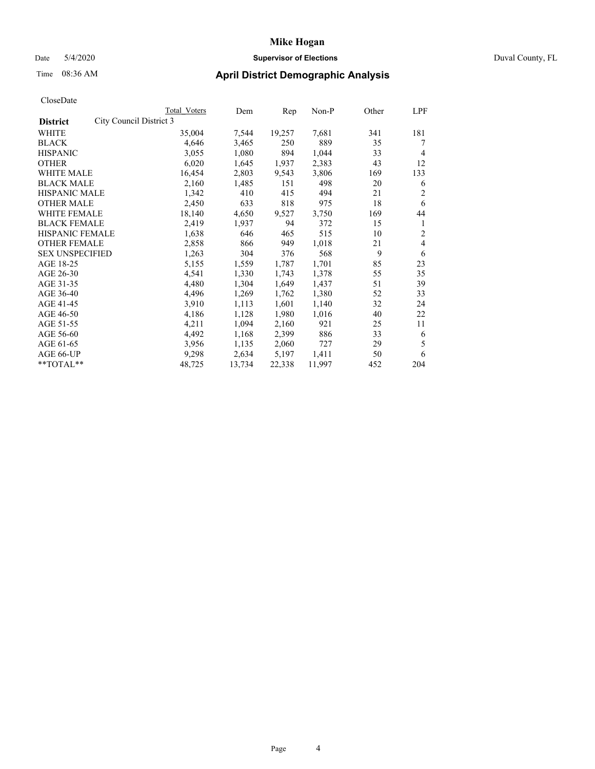# Date 5/4/2020 **Supervisor of Elections** Duval County, FL

# Time 08:36 AM **April District Demographic Analysis**

|                                            | Total Voters | Dem    | Rep    | Non-P  | Other | LPF            |
|--------------------------------------------|--------------|--------|--------|--------|-------|----------------|
| City Council District 3<br><b>District</b> |              |        |        |        |       |                |
| <b>WHITE</b>                               | 35,004       | 7,544  | 19,257 | 7,681  | 341   | 181            |
| <b>BLACK</b>                               | 4,646        | 3,465  | 250    | 889    | 35    | 7              |
| <b>HISPANIC</b>                            | 3,055        | 1,080  | 894    | 1,044  | 33    | 4              |
| <b>OTHER</b>                               | 6,020        | 1,645  | 1,937  | 2,383  | 43    | 12             |
| WHITE MALE                                 | 16,454       | 2,803  | 9,543  | 3,806  | 169   | 133            |
| <b>BLACK MALE</b>                          | 2,160        | 1,485  | 151    | 498    | 20    | 6              |
| HISPANIC MALE                              | 1,342        | 410    | 415    | 494    | 21    | 2              |
| <b>OTHER MALE</b>                          | 2,450        | 633    | 818    | 975    | 18    | 6              |
| <b>WHITE FEMALE</b>                        | 18,140       | 4,650  | 9,527  | 3,750  | 169   | 44             |
| <b>BLACK FEMALE</b>                        | 2,419        | 1,937  | 94     | 372    | 15    | 1              |
| HISPANIC FEMALE                            | 1,638        | 646    | 465    | 515    | 10    | $\overline{2}$ |
| <b>OTHER FEMALE</b>                        | 2,858        | 866    | 949    | 1,018  | 21    | 4              |
| <b>SEX UNSPECIFIED</b>                     | 1,263        | 304    | 376    | 568    | 9     | 6              |
| AGE 18-25                                  | 5,155        | 1,559  | 1,787  | 1,701  | 85    | 23             |
| AGE 26-30                                  | 4,541        | 1,330  | 1,743  | 1,378  | 55    | 35             |
| AGE 31-35                                  | 4,480        | 1,304  | 1,649  | 1,437  | 51    | 39             |
| AGE 36-40                                  | 4,496        | 1,269  | 1,762  | 1,380  | 52    | 33             |
| AGE 41-45                                  | 3,910        | 1,113  | 1,601  | 1,140  | 32    | 24             |
| AGE 46-50                                  | 4,186        | 1,128  | 1,980  | 1,016  | 40    | 22             |
| AGE 51-55                                  | 4,211        | 1,094  | 2,160  | 921    | 25    | 11             |
| AGE 56-60                                  | 4,492        | 1,168  | 2,399  | 886    | 33    | 6              |
| AGE 61-65                                  | 3,956        | 1,135  | 2,060  | 727    | 29    | 5              |
| AGE 66-UP                                  | 9,298        | 2,634  | 5,197  | 1,411  | 50    | 6              |
| **TOTAL**                                  | 48,725       | 13,734 | 22,338 | 11,997 | 452   | 204            |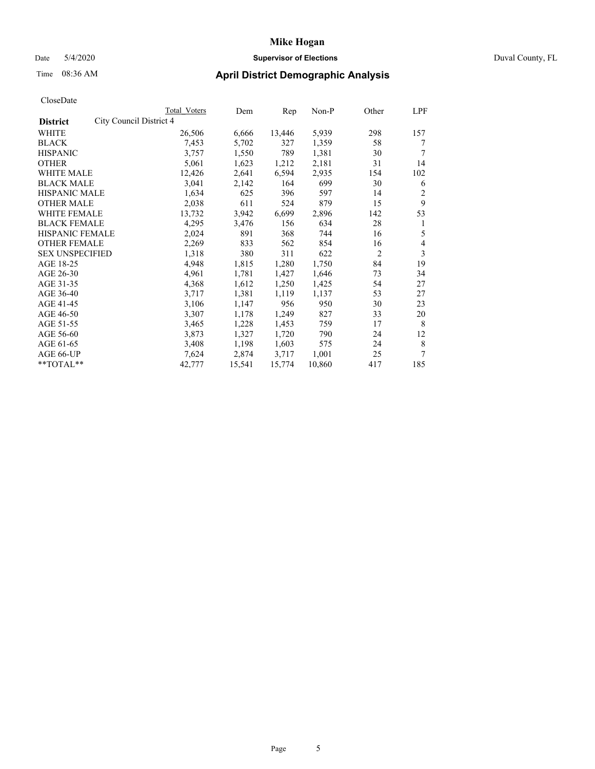# Date 5/4/2020 **Supervisor of Elections** Duval County, FL

# Time 08:36 AM **April District Demographic Analysis**

|                                            | Total Voters | Dem    | Rep    | Non-P  | Other          | LPF |
|--------------------------------------------|--------------|--------|--------|--------|----------------|-----|
| City Council District 4<br><b>District</b> |              |        |        |        |                |     |
| <b>WHITE</b>                               | 26,506       | 6,666  | 13,446 | 5,939  | 298            | 157 |
| <b>BLACK</b>                               | 7,453        | 5,702  | 327    | 1,359  | 58             | 7   |
| <b>HISPANIC</b>                            | 3,757        | 1,550  | 789    | 1,381  | 30             | 7   |
| <b>OTHER</b>                               | 5,061        | 1,623  | 1,212  | 2,181  | 31             | 14  |
| WHITE MALE                                 | 12,426       | 2,641  | 6,594  | 2,935  | 154            | 102 |
| <b>BLACK MALE</b>                          | 3,041        | 2,142  | 164    | 699    | 30             | 6   |
| HISPANIC MALE                              | 1,634        | 625    | 396    | 597    | 14             | 2   |
| <b>OTHER MALE</b>                          | 2,038        | 611    | 524    | 879    | 15             | 9   |
| <b>WHITE FEMALE</b>                        | 13,732       | 3,942  | 6,699  | 2,896  | 142            | 53  |
| <b>BLACK FEMALE</b>                        | 4,295        | 3,476  | 156    | 634    | 28             | 1   |
| HISPANIC FEMALE                            | 2,024        | 891    | 368    | 744    | 16             | 5   |
| <b>OTHER FEMALE</b>                        | 2,269        | 833    | 562    | 854    | 16             | 4   |
| <b>SEX UNSPECIFIED</b>                     | 1,318        | 380    | 311    | 622    | $\overline{c}$ | 3   |
| AGE 18-25                                  | 4,948        | 1,815  | 1,280  | 1,750  | 84             | 19  |
| AGE 26-30                                  | 4,961        | 1,781  | 1,427  | 1,646  | 73             | 34  |
| AGE 31-35                                  | 4,368        | 1,612  | 1,250  | 1,425  | 54             | 27  |
| AGE 36-40                                  | 3,717        | 1,381  | 1,119  | 1,137  | 53             | 27  |
| AGE 41-45                                  | 3,106        | 1,147  | 956    | 950    | 30             | 23  |
| AGE 46-50                                  | 3,307        | 1,178  | 1,249  | 827    | 33             | 20  |
| AGE 51-55                                  | 3,465        | 1,228  | 1,453  | 759    | 17             | 8   |
| AGE 56-60                                  | 3,873        | 1,327  | 1,720  | 790    | 24             | 12  |
| AGE 61-65                                  | 3,408        | 1,198  | 1,603  | 575    | 24             | 8   |
| AGE 66-UP                                  | 7,624        | 2,874  | 3,717  | 1,001  | 25             | 7   |
| **TOTAL**                                  | 42,777       | 15,541 | 15,774 | 10,860 | 417            | 185 |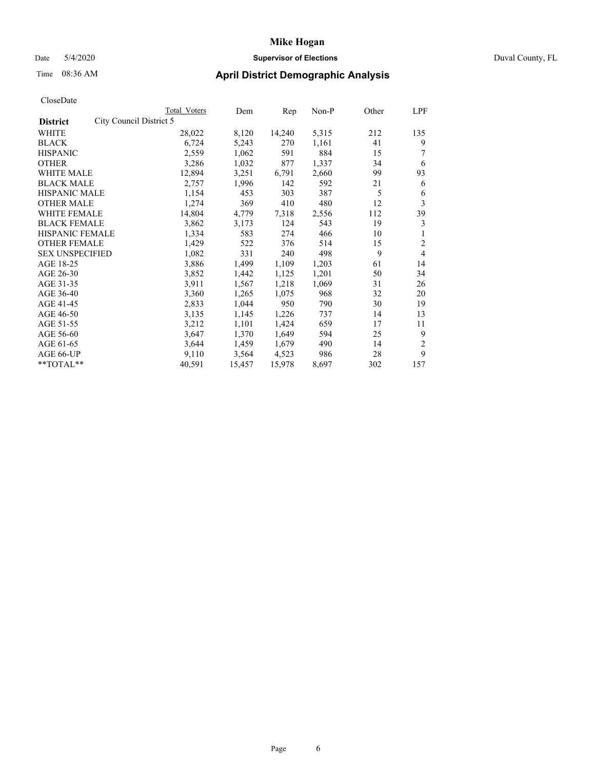# Date 5/4/2020 **Supervisor of Elections** Duval County, FL

# Time 08:36 AM **April District Demographic Analysis**

|                                            | Total Voters | Dem    | Rep    | Non-P | Other | LPF            |
|--------------------------------------------|--------------|--------|--------|-------|-------|----------------|
| City Council District 5<br><b>District</b> |              |        |        |       |       |                |
| WHITE                                      | 28,022       | 8,120  | 14,240 | 5,315 | 212   | 135            |
| <b>BLACK</b>                               | 6,724        | 5,243  | 270    | 1,161 | 41    | 9              |
| <b>HISPANIC</b>                            | 2,559        | 1,062  | 591    | 884   | 15    |                |
| <b>OTHER</b>                               | 3,286        | 1,032  | 877    | 1,337 | 34    | 6              |
| WHITE MALE                                 | 12,894       | 3,251  | 6,791  | 2,660 | 99    | 93             |
| <b>BLACK MALE</b>                          | 2,757        | 1,996  | 142    | 592   | 21    | 6              |
| <b>HISPANIC MALE</b>                       | 1,154        | 453    | 303    | 387   | 5     | 6              |
| <b>OTHER MALE</b>                          | 1,274        | 369    | 410    | 480   | 12    | 3              |
| <b>WHITE FEMALE</b>                        | 14,804       | 4,779  | 7.318  | 2,556 | 112   | 39             |
| <b>BLACK FEMALE</b>                        | 3,862        | 3,173  | 124    | 543   | 19    | 3              |
| <b>HISPANIC FEMALE</b>                     | 1,334        | 583    | 274    | 466   | 10    | 1              |
| <b>OTHER FEMALE</b>                        | 1,429        | 522    | 376    | 514   | 15    | 2              |
| <b>SEX UNSPECIFIED</b>                     | 1,082        | 331    | 240    | 498   | 9     | $\overline{4}$ |
| AGE 18-25                                  | 3,886        | 1,499  | 1,109  | 1,203 | 61    | 14             |
| AGE 26-30                                  | 3,852        | 1,442  | 1,125  | 1,201 | 50    | 34             |
| AGE 31-35                                  | 3,911        | 1,567  | 1,218  | 1,069 | 31    | 26             |
| AGE 36-40                                  | 3,360        | 1,265  | 1,075  | 968   | 32    | 20             |
| AGE 41-45                                  | 2,833        | 1,044  | 950    | 790   | 30    | 19             |
| AGE 46-50                                  | 3,135        | 1,145  | 1,226  | 737   | 14    | 13             |
| AGE 51-55                                  | 3,212        | 1,101  | 1,424  | 659   | 17    | 11             |
| AGE 56-60                                  | 3,647        | 1,370  | 1,649  | 594   | 25    | 9              |
| AGE 61-65                                  | 3,644        | 1,459  | 1,679  | 490   | 14    | 2              |
| AGE 66-UP                                  | 9,110        | 3,564  | 4,523  | 986   | 28    | 9              |
| **TOTAL**                                  | 40,591       | 15,457 | 15,978 | 8,697 | 302   | 157            |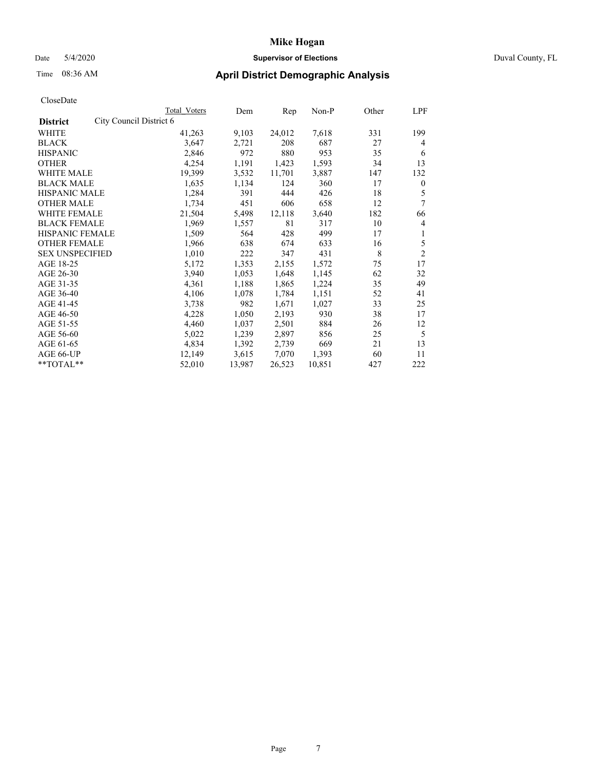# Date 5/4/2020 **Supervisor of Elections** Duval County, FL

# Time 08:36 AM **April District Demographic Analysis**

|                                            | Total Voters | Dem    | Rep    | Non-P  | Other | LPF            |
|--------------------------------------------|--------------|--------|--------|--------|-------|----------------|
| City Council District 6<br><b>District</b> |              |        |        |        |       |                |
| WHITE                                      | 41,263       | 9,103  | 24,012 | 7,618  | 331   | 199            |
| <b>BLACK</b>                               | 3,647        | 2,721  | 208    | 687    | 27    | 4              |
| <b>HISPANIC</b>                            | 2,846        | 972    | 880    | 953    | 35    | 6              |
| <b>OTHER</b>                               | 4,254        | 1,191  | 1,423  | 1,593  | 34    | 13             |
| WHITE MALE                                 | 19,399       | 3,532  | 11,701 | 3,887  | 147   | 132            |
| <b>BLACK MALE</b>                          | 1,635        | 1,134  | 124    | 360    | 17    | $\mathbf{0}$   |
| <b>HISPANIC MALE</b>                       | 1,284        | 391    | 444    | 426    | 18    | 5              |
| <b>OTHER MALE</b>                          | 1,734        | 451    | 606    | 658    | 12    | 7              |
| <b>WHITE FEMALE</b>                        | 21,504       | 5,498  | 12,118 | 3,640  | 182   | 66             |
| <b>BLACK FEMALE</b>                        | 1,969        | 1,557  | 81     | 317    | 10    | 4              |
| <b>HISPANIC FEMALE</b>                     | 1,509        | 564    | 428    | 499    | 17    | 1              |
| <b>OTHER FEMALE</b>                        | 1,966        | 638    | 674    | 633    | 16    | 5              |
| <b>SEX UNSPECIFIED</b>                     | 1,010        | 222    | 347    | 431    | 8     | $\overline{2}$ |
| AGE 18-25                                  | 5,172        | 1,353  | 2,155  | 1,572  | 75    | 17             |
| AGE 26-30                                  | 3,940        | 1,053  | 1,648  | 1,145  | 62    | 32             |
| AGE 31-35                                  | 4,361        | 1,188  | 1,865  | 1,224  | 35    | 49             |
| AGE 36-40                                  | 4,106        | 1,078  | 1,784  | 1,151  | 52    | 41             |
| AGE 41-45                                  | 3,738        | 982    | 1,671  | 1,027  | 33    | 25             |
| AGE 46-50                                  | 4,228        | 1,050  | 2,193  | 930    | 38    | 17             |
| AGE 51-55                                  | 4,460        | 1,037  | 2,501  | 884    | 26    | 12             |
| AGE 56-60                                  | 5,022        | 1,239  | 2,897  | 856    | 25    | 5              |
| AGE 61-65                                  | 4,834        | 1,392  | 2,739  | 669    | 21    | 13             |
| AGE 66-UP                                  | 12,149       | 3,615  | 7,070  | 1,393  | 60    | 11             |
| **TOTAL**                                  | 52,010       | 13,987 | 26,523 | 10,851 | 427   | 222            |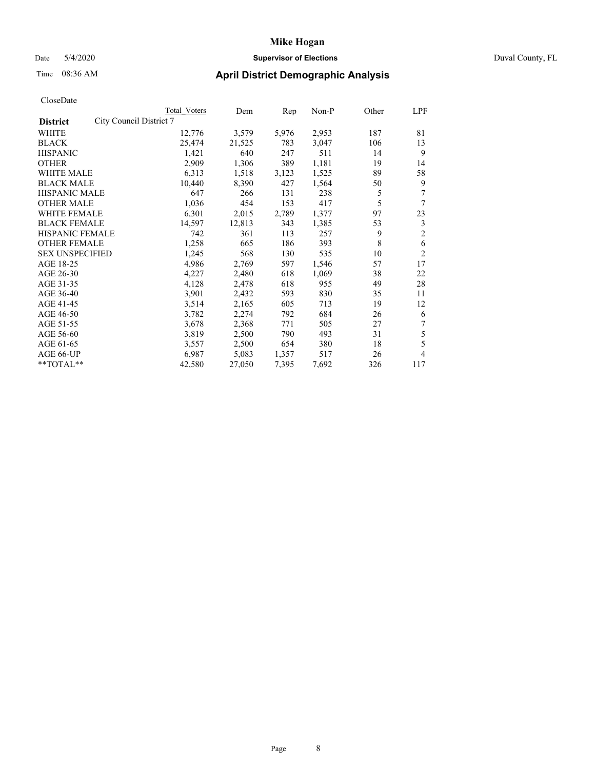# Date 5/4/2020 **Supervisor of Elections** Duval County, FL

# Time 08:36 AM **April District Demographic Analysis**

|                                            | Total Voters | Dem    | Rep   | Non-P | Other | LPF            |
|--------------------------------------------|--------------|--------|-------|-------|-------|----------------|
| City Council District 7<br><b>District</b> |              |        |       |       |       |                |
| WHITE                                      | 12,776       | 3,579  | 5,976 | 2,953 | 187   | 81             |
| <b>BLACK</b>                               | 25,474       | 21,525 | 783   | 3,047 | 106   | 13             |
| <b>HISPANIC</b>                            | 1,421        | 640    | 247   | 511   | 14    | 9              |
| <b>OTHER</b>                               | 2,909        | 1,306  | 389   | 1,181 | 19    | 14             |
| WHITE MALE                                 | 6,313        | 1,518  | 3,123 | 1,525 | 89    | 58             |
| <b>BLACK MALE</b>                          | 10,440       | 8,390  | 427   | 1,564 | 50    | 9              |
| <b>HISPANIC MALE</b>                       | 647          | 266    | 131   | 238   | 5     | 7              |
| <b>OTHER MALE</b>                          | 1,036        | 454    | 153   | 417   | 5     | 7              |
| WHITE FEMALE                               | 6,301        | 2,015  | 2,789 | 1,377 | 97    | 23             |
| <b>BLACK FEMALE</b>                        | 14,597       | 12,813 | 343   | 1,385 | 53    | 3              |
| <b>HISPANIC FEMALE</b>                     | 742          | 361    | 113   | 257   | 9     | $\overline{c}$ |
| <b>OTHER FEMALE</b>                        | 1,258        | 665    | 186   | 393   | 8     | 6              |
| <b>SEX UNSPECIFIED</b>                     | 1,245        | 568    | 130   | 535   | 10    | $\overline{c}$ |
| AGE 18-25                                  | 4,986        | 2,769  | 597   | 1,546 | 57    | 17             |
| AGE 26-30                                  | 4,227        | 2,480  | 618   | 1,069 | 38    | 22             |
| AGE 31-35                                  | 4,128        | 2,478  | 618   | 955   | 49    | 28             |
| AGE 36-40                                  | 3,901        | 2,432  | 593   | 830   | 35    | 11             |
| AGE 41-45                                  | 3,514        | 2,165  | 605   | 713   | 19    | 12             |
| AGE 46-50                                  | 3,782        | 2,274  | 792   | 684   | 26    | 6              |
| AGE 51-55                                  | 3,678        | 2,368  | 771   | 505   | 27    | 7              |
| AGE 56-60                                  | 3,819        | 2,500  | 790   | 493   | 31    | 5              |
| AGE 61-65                                  | 3,557        | 2,500  | 654   | 380   | 18    | 5              |
| AGE 66-UP                                  | 6,987        | 5,083  | 1,357 | 517   | 26    | 4              |
| **TOTAL**                                  | 42,580       | 27,050 | 7,395 | 7,692 | 326   | 117            |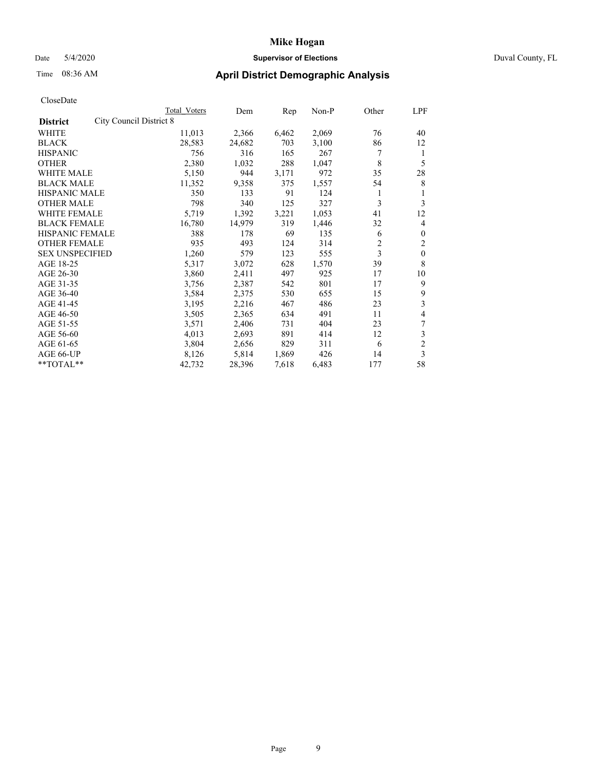## Date 5/4/2020 **Supervisor of Elections** Duval County, FL

# Time 08:36 AM **April District Demographic Analysis**

|                                                   | Total Voters | Dem    | Rep   | Non-P | Other | LPF            |
|---------------------------------------------------|--------------|--------|-------|-------|-------|----------------|
| <b>City Council District 8</b><br><b>District</b> |              |        |       |       |       |                |
| WHITE                                             | 11,013       | 2,366  | 6,462 | 2,069 | 76    | 40             |
| <b>BLACK</b>                                      | 28,583       | 24,682 | 703   | 3,100 | 86    | 12             |
| <b>HISPANIC</b>                                   | 756          | 316    | 165   | 267   | 7     | 1              |
| <b>OTHER</b>                                      | 2,380        | 1,032  | 288   | 1,047 | 8     | 5              |
| WHITE MALE                                        | 5,150        | 944    | 3,171 | 972   | 35    | 28             |
| <b>BLACK MALE</b>                                 | 11,352       | 9,358  | 375   | 1,557 | 54    | 8              |
| <b>HISPANIC MALE</b>                              | 350          | 133    | 91    | 124   | 1     | 1              |
| <b>OTHER MALE</b>                                 | 798          | 340    | 125   | 327   | 3     | 3              |
| WHITE FEMALE                                      | 5,719        | 1,392  | 3,221 | 1,053 | 41    | 12             |
| <b>BLACK FEMALE</b>                               | 16,780       | 14,979 | 319   | 1,446 | 32    | 4              |
| <b>HISPANIC FEMALE</b>                            | 388          | 178    | 69    | 135   | 6     | $\mathbf{0}$   |
| <b>OTHER FEMALE</b>                               | 935          | 493    | 124   | 314   | 2     | $\overline{2}$ |
| <b>SEX UNSPECIFIED</b>                            | 1,260        | 579    | 123   | 555   | 3     | $\mathbf{0}$   |
| AGE 18-25                                         | 5,317        | 3,072  | 628   | 1,570 | 39    | 8              |
| AGE 26-30                                         | 3,860        | 2,411  | 497   | 925   | 17    | 10             |
| AGE 31-35                                         | 3,756        | 2,387  | 542   | 801   | 17    | 9              |
| AGE 36-40                                         | 3,584        | 2,375  | 530   | 655   | 15    | 9              |
| AGE 41-45                                         | 3,195        | 2,216  | 467   | 486   | 23    | 3              |
| AGE 46-50                                         | 3,505        | 2,365  | 634   | 491   | 11    | 4              |
| AGE 51-55                                         | 3,571        | 2,406  | 731   | 404   | 23    | 7              |
| AGE 56-60                                         | 4,013        | 2,693  | 891   | 414   | 12    | 3              |
| AGE 61-65                                         | 3,804        | 2,656  | 829   | 311   | 6     | $\overline{c}$ |
| AGE 66-UP                                         | 8,126        | 5,814  | 1,869 | 426   | 14    | 3              |
| **TOTAL**                                         | 42,732       | 28,396 | 7,618 | 6,483 | 177   | 58             |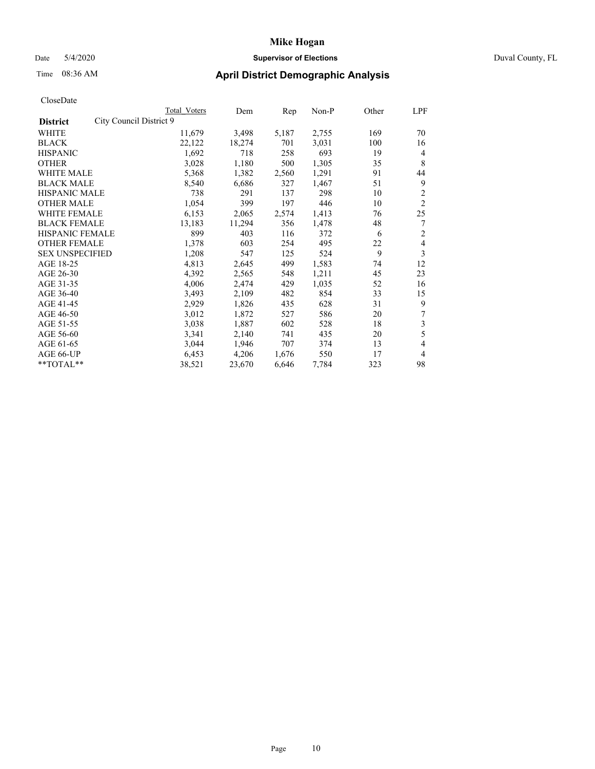# Date 5/4/2020 **Supervisor of Elections** Duval County, FL

# Time 08:36 AM **April District Demographic Analysis**

| CloseDate |
|-----------|
|-----------|

|                                            | Total Voters | Dem    | Rep   | Non-P | Other | LPF            |
|--------------------------------------------|--------------|--------|-------|-------|-------|----------------|
| City Council District 9<br><b>District</b> |              |        |       |       |       |                |
| <b>WHITE</b>                               | 11,679       | 3,498  | 5,187 | 2,755 | 169   | 70             |
| <b>BLACK</b>                               | 22,122       | 18,274 | 701   | 3,031 | 100   | 16             |
| <b>HISPANIC</b>                            | 1,692        | 718    | 258   | 693   | 19    | 4              |
| <b>OTHER</b>                               | 3,028        | 1,180  | 500   | 1,305 | 35    | 8              |
| <b>WHITE MALE</b>                          | 5,368        | 1,382  | 2,560 | 1,291 | 91    | 44             |
| <b>BLACK MALE</b>                          | 8,540        | 6,686  | 327   | 1,467 | 51    | 9              |
| <b>HISPANIC MALE</b>                       | 738          | 291    | 137   | 298   | 10    | $\overline{c}$ |
| <b>OTHER MALE</b>                          | 1,054        | 399    | 197   | 446   | 10    | $\overline{c}$ |
| <b>WHITE FEMALE</b>                        | 6,153        | 2,065  | 2,574 | 1,413 | 76    | 25             |
| <b>BLACK FEMALE</b>                        | 13,183       | 11,294 | 356   | 1,478 | 48    | 7              |
| HISPANIC FEMALE                            | 899          | 403    | 116   | 372   | 6     | 2              |
| <b>OTHER FEMALE</b>                        | 1,378        | 603    | 254   | 495   | 22    | 4              |
| <b>SEX UNSPECIFIED</b>                     | 1,208        | 547    | 125   | 524   | 9     | 3              |
| AGE 18-25                                  | 4,813        | 2,645  | 499   | 1,583 | 74    | 12             |
| AGE 26-30                                  | 4,392        | 2,565  | 548   | 1,211 | 45    | 23             |
| AGE 31-35                                  | 4,006        | 2,474  | 429   | 1,035 | 52    | 16             |
| AGE 36-40                                  | 3,493        | 2,109  | 482   | 854   | 33    | 15             |
| AGE 41-45                                  | 2,929        | 1,826  | 435   | 628   | 31    | 9              |
| AGE 46-50                                  | 3,012        | 1,872  | 527   | 586   | 20    | 7              |
| AGE 51-55                                  | 3,038        | 1,887  | 602   | 528   | 18    | 3              |
| AGE 56-60                                  | 3,341        | 2,140  | 741   | 435   | 20    | 5              |
| AGE 61-65                                  | 3,044        | 1,946  | 707   | 374   | 13    | 4              |
| AGE 66-UP                                  | 6,453        | 4,206  | 1,676 | 550   | 17    | 4              |
| **TOTAL**                                  | 38,521       | 23,670 | 6,646 | 7.784 | 323   | 98             |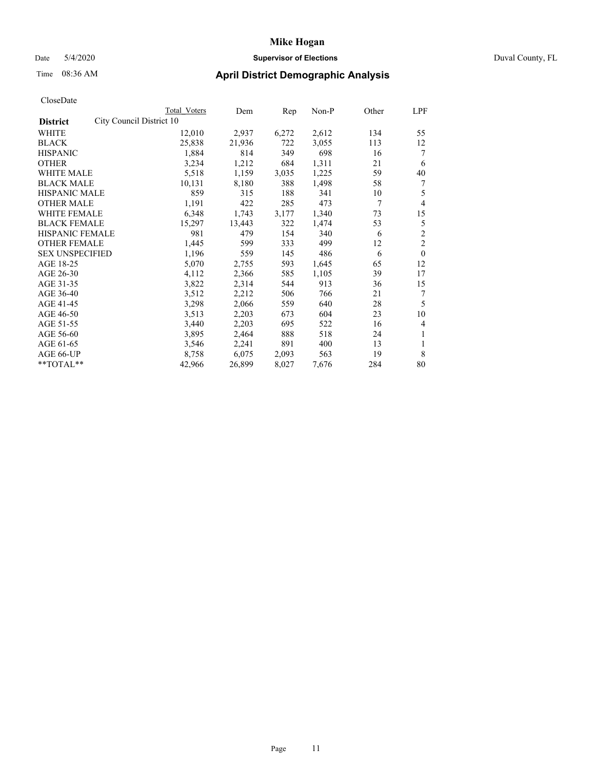# Date 5/4/2020 **Supervisor of Elections** Duval County, FL

# Time 08:36 AM **April District Demographic Analysis**

|                                             | Total Voters | Dem    | Rep   | Non-P | Other | LPF            |
|---------------------------------------------|--------------|--------|-------|-------|-------|----------------|
| City Council District 10<br><b>District</b> |              |        |       |       |       |                |
| <b>WHITE</b>                                | 12,010       | 2,937  | 6,272 | 2,612 | 134   | 55             |
| <b>BLACK</b>                                | 25,838       | 21,936 | 722   | 3,055 | 113   | 12             |
| <b>HISPANIC</b>                             | 1,884        | 814    | 349   | 698   | 16    | 7              |
| <b>OTHER</b>                                | 3,234        | 1,212  | 684   | 1,311 | 21    | 6              |
| <b>WHITE MALE</b>                           | 5,518        | 1,159  | 3,035 | 1,225 | 59    | 40             |
| <b>BLACK MALE</b>                           | 10,131       | 8,180  | 388   | 1,498 | 58    | 7              |
| HISPANIC MALE                               | 859          | 315    | 188   | 341   | 10    | 5              |
| <b>OTHER MALE</b>                           | 1,191        | 422    | 285   | 473   | 7     | $\overline{4}$ |
| <b>WHITE FEMALE</b>                         | 6,348        | 1,743  | 3,177 | 1,340 | 73    | 15             |
| <b>BLACK FEMALE</b>                         | 15,297       | 13,443 | 322   | 1,474 | 53    | 5              |
| <b>HISPANIC FEMALE</b>                      | 981          | 479    | 154   | 340   | 6     | $\overline{c}$ |
| <b>OTHER FEMALE</b>                         | 1,445        | 599    | 333   | 499   | 12    | $\overline{2}$ |
| <b>SEX UNSPECIFIED</b>                      | 1,196        | 559    | 145   | 486   | 6     | $\theta$       |
| AGE 18-25                                   | 5,070        | 2,755  | 593   | 1,645 | 65    | 12             |
| AGE 26-30                                   | 4,112        | 2,366  | 585   | 1,105 | 39    | 17             |
| AGE 31-35                                   | 3,822        | 2,314  | 544   | 913   | 36    | 15             |
| AGE 36-40                                   | 3,512        | 2,212  | 506   | 766   | 21    | 7              |
| AGE 41-45                                   | 3,298        | 2,066  | 559   | 640   | 28    | 5              |
| AGE 46-50                                   | 3,513        | 2,203  | 673   | 604   | 23    | 10             |
| AGE 51-55                                   | 3,440        | 2,203  | 695   | 522   | 16    | 4              |
| AGE 56-60                                   | 3,895        | 2,464  | 888   | 518   | 24    | 1              |
| AGE 61-65                                   | 3,546        | 2,241  | 891   | 400   | 13    | 1              |
| AGE 66-UP                                   | 8,758        | 6,075  | 2,093 | 563   | 19    | 8              |
| **TOTAL**                                   | 42,966       | 26,899 | 8,027 | 7,676 | 284   | 80             |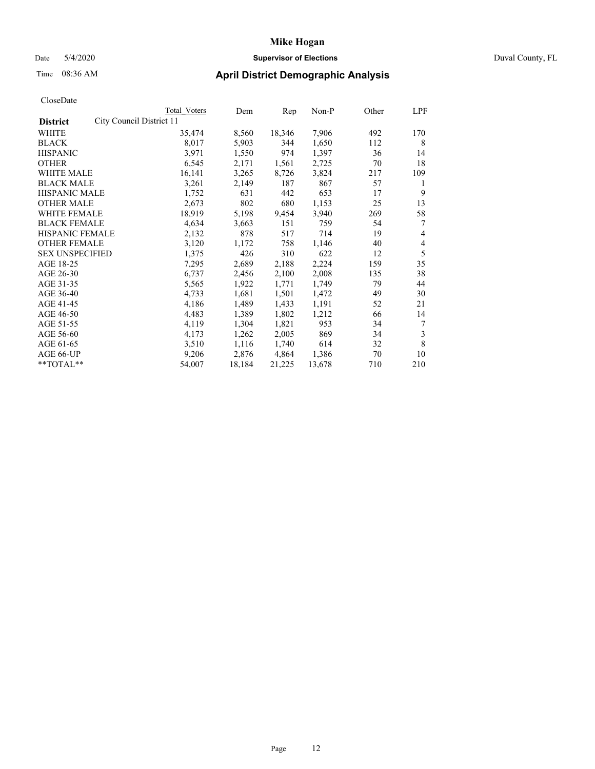# Date 5/4/2020 **Supervisor of Elections** Duval County, FL

# Time 08:36 AM **April District Demographic Analysis**

|                                             | Total Voters | Dem    | Rep    | Non-P  | Other | LPF |
|---------------------------------------------|--------------|--------|--------|--------|-------|-----|
| City Council District 11<br><b>District</b> |              |        |        |        |       |     |
| <b>WHITE</b>                                | 35,474       | 8,560  | 18,346 | 7,906  | 492   | 170 |
| <b>BLACK</b>                                | 8,017        | 5,903  | 344    | 1,650  | 112   | 8   |
| <b>HISPANIC</b>                             | 3,971        | 1,550  | 974    | 1,397  | 36    | 14  |
| <b>OTHER</b>                                | 6,545        | 2,171  | 1,561  | 2,725  | 70    | 18  |
| WHITE MALE                                  | 16,141       | 3,265  | 8,726  | 3,824  | 217   | 109 |
| <b>BLACK MALE</b>                           | 3,261        | 2,149  | 187    | 867    | 57    | 1   |
| <b>HISPANIC MALE</b>                        | 1,752        | 631    | 442    | 653    | 17    | 9   |
| <b>OTHER MALE</b>                           | 2,673        | 802    | 680    | 1,153  | 25    | 13  |
| <b>WHITE FEMALE</b>                         | 18,919       | 5,198  | 9,454  | 3,940  | 269   | 58  |
| <b>BLACK FEMALE</b>                         | 4,634        | 3,663  | 151    | 759    | 54    | 7   |
| HISPANIC FEMALE                             | 2,132        | 878    | 517    | 714    | 19    | 4   |
| <b>OTHER FEMALE</b>                         | 3,120        | 1,172  | 758    | 1,146  | 40    | 4   |
| <b>SEX UNSPECIFIED</b>                      | 1,375        | 426    | 310    | 622    | 12    | 5   |
| AGE 18-25                                   | 7,295        | 2,689  | 2,188  | 2,224  | 159   | 35  |
| AGE 26-30                                   | 6,737        | 2,456  | 2,100  | 2,008  | 135   | 38  |
| AGE 31-35                                   | 5,565        | 1,922  | 1,771  | 1,749  | 79    | 44  |
| AGE 36-40                                   | 4,733        | 1,681  | 1,501  | 1,472  | 49    | 30  |
| AGE 41-45                                   | 4,186        | 1,489  | 1,433  | 1,191  | 52    | 21  |
| AGE 46-50                                   | 4,483        | 1,389  | 1,802  | 1,212  | 66    | 14  |
| AGE 51-55                                   | 4,119        | 1,304  | 1,821  | 953    | 34    | 7   |
| AGE 56-60                                   | 4,173        | 1,262  | 2,005  | 869    | 34    | 3   |
| AGE 61-65                                   | 3,510        | 1,116  | 1,740  | 614    | 32    | 8   |
| AGE 66-UP                                   | 9,206        | 2,876  | 4,864  | 1,386  | 70    | 10  |
| **TOTAL**                                   | 54,007       | 18,184 | 21,225 | 13,678 | 710   | 210 |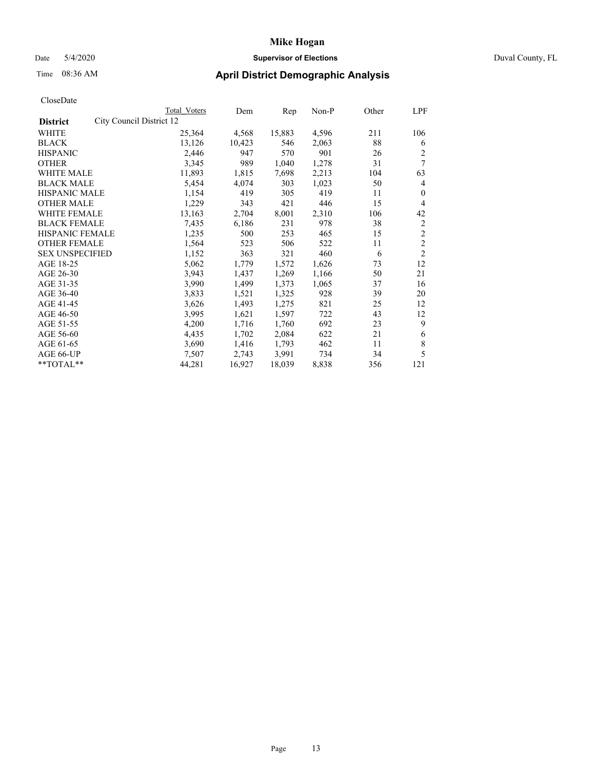# Date 5/4/2020 **Supervisor of Elections** Duval County, FL

# Time 08:36 AM **April District Demographic Analysis**

|                                             | Total Voters | Dem    | Rep    | Non-P | Other | LPF                     |
|---------------------------------------------|--------------|--------|--------|-------|-------|-------------------------|
| City Council District 12<br><b>District</b> |              |        |        |       |       |                         |
| WHITE                                       | 25,364       | 4,568  | 15,883 | 4,596 | 211   | 106                     |
| <b>BLACK</b>                                | 13,126       | 10,423 | 546    | 2,063 | 88    | 6                       |
| <b>HISPANIC</b>                             | 2,446        | 947    | 570    | 901   | 26    | $\overline{c}$          |
| <b>OTHER</b>                                | 3,345        | 989    | 1,040  | 1,278 | 31    | 7                       |
| WHITE MALE                                  | 11,893       | 1,815  | 7,698  | 2,213 | 104   | 63                      |
| <b>BLACK MALE</b>                           | 5,454        | 4,074  | 303    | 1,023 | 50    | 4                       |
| HISPANIC MALE                               | 1,154        | 419    | 305    | 419   | 11    | $\theta$                |
| <b>OTHER MALE</b>                           | 1,229        | 343    | 421    | 446   | 15    | 4                       |
| <b>WHITE FEMALE</b>                         | 13,163       | 2,704  | 8,001  | 2,310 | 106   | 42                      |
| <b>BLACK FEMALE</b>                         | 7.435        | 6,186  | 231    | 978   | 38    | 2                       |
| HISPANIC FEMALE                             | 1,235        | 500    | 253    | 465   | 15    | $\overline{c}$          |
| <b>OTHER FEMALE</b>                         | 1,564        | 523    | 506    | 522   | 11    | $\overline{\mathbf{c}}$ |
| <b>SEX UNSPECIFIED</b>                      | 1,152        | 363    | 321    | 460   | 6     | $\overline{c}$          |
| AGE 18-25                                   | 5,062        | 1,779  | 1,572  | 1,626 | 73    | 12                      |
| AGE 26-30                                   | 3,943        | 1,437  | 1,269  | 1,166 | 50    | 21                      |
| AGE 31-35                                   | 3,990        | 1,499  | 1,373  | 1,065 | 37    | 16                      |
| AGE 36-40                                   | 3,833        | 1,521  | 1,325  | 928   | 39    | 20                      |
| AGE 41-45                                   | 3,626        | 1,493  | 1,275  | 821   | 25    | 12                      |
| AGE 46-50                                   | 3,995        | 1,621  | 1,597  | 722   | 43    | 12                      |
| AGE 51-55                                   | 4,200        | 1,716  | 1,760  | 692   | 23    | 9                       |
| AGE 56-60                                   | 4,435        | 1,702  | 2,084  | 622   | 21    | 6                       |
| AGE 61-65                                   | 3,690        | 1,416  | 1,793  | 462   | 11    | 8                       |
| AGE 66-UP                                   | 7,507        | 2,743  | 3,991  | 734   | 34    | 5                       |
| **TOTAL**                                   | 44,281       | 16,927 | 18,039 | 8,838 | 356   | 121                     |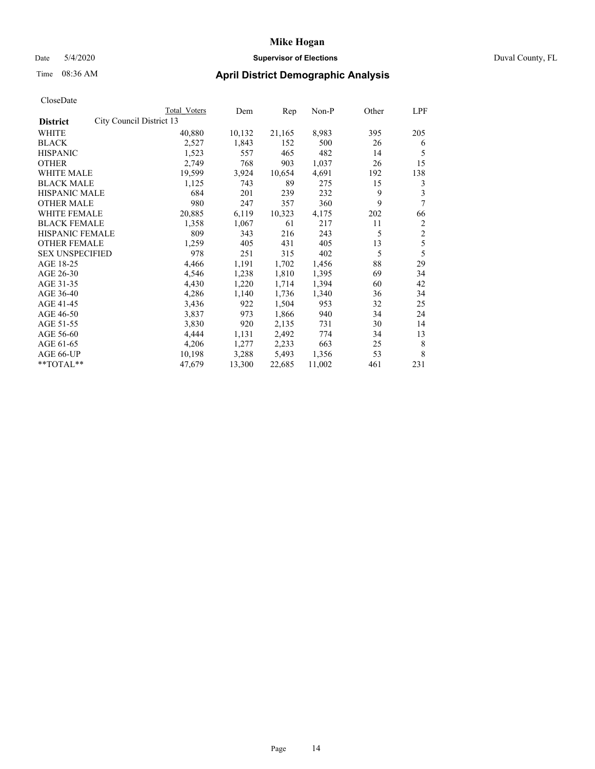# Date 5/4/2020 **Supervisor of Elections** Duval County, FL

# Time 08:36 AM **April District Demographic Analysis**

|                                             | <b>Total Voters</b> | Dem    | Rep    | Non-P  | Other | LPF            |
|---------------------------------------------|---------------------|--------|--------|--------|-------|----------------|
| City Council District 13<br><b>District</b> |                     |        |        |        |       |                |
| WHITE                                       | 40,880              | 10,132 | 21,165 | 8,983  | 395   | 205            |
| <b>BLACK</b>                                | 2,527               | 1,843  | 152    | 500    | 26    | 6              |
| <b>HISPANIC</b>                             | 1,523               | 557    | 465    | 482    | 14    | 5              |
| <b>OTHER</b>                                | 2,749               | 768    | 903    | 1,037  | 26    | 15             |
| WHITE MALE                                  | 19,599              | 3,924  | 10,654 | 4,691  | 192   | 138            |
| <b>BLACK MALE</b>                           | 1,125               | 743    | 89     | 275    | 15    | 3              |
| HISPANIC MALE                               | 684                 | 201    | 239    | 232    | 9     | 3              |
| <b>OTHER MALE</b>                           | 980                 | 247    | 357    | 360    | 9     | 7              |
| <b>WHITE FEMALE</b>                         | 20,885              | 6,119  | 10,323 | 4,175  | 202   | 66             |
| <b>BLACK FEMALE</b>                         | 1,358               | 1,067  | 61     | 217    | 11    | $\overline{c}$ |
| HISPANIC FEMALE                             | 809                 | 343    | 216    | 243    | 5     | $\overline{2}$ |
| <b>OTHER FEMALE</b>                         | 1,259               | 405    | 431    | 405    | 13    | 5              |
| <b>SEX UNSPECIFIED</b>                      | 978                 | 251    | 315    | 402    | 5     | 5              |
| AGE 18-25                                   | 4,466               | 1,191  | 1,702  | 1,456  | 88    | 29             |
| AGE 26-30                                   | 4,546               | 1,238  | 1,810  | 1,395  | 69    | 34             |
| AGE 31-35                                   | 4,430               | 1,220  | 1,714  | 1,394  | 60    | 42             |
| AGE 36-40                                   | 4,286               | 1,140  | 1,736  | 1,340  | 36    | 34             |
| AGE 41-45                                   | 3,436               | 922    | 1,504  | 953    | 32    | 25             |
| AGE 46-50                                   | 3,837               | 973    | 1,866  | 940    | 34    | 24             |
| AGE 51-55                                   | 3,830               | 920    | 2,135  | 731    | 30    | 14             |
| AGE 56-60                                   | 4,444               | 1,131  | 2,492  | 774    | 34    | 13             |
| AGE 61-65                                   | 4,206               | 1,277  | 2,233  | 663    | 25    | 8              |
| AGE 66-UP                                   | 10,198              | 3,288  | 5,493  | 1,356  | 53    | 8              |
| **TOTAL**                                   | 47,679              | 13,300 | 22,685 | 11,002 | 461   | 231            |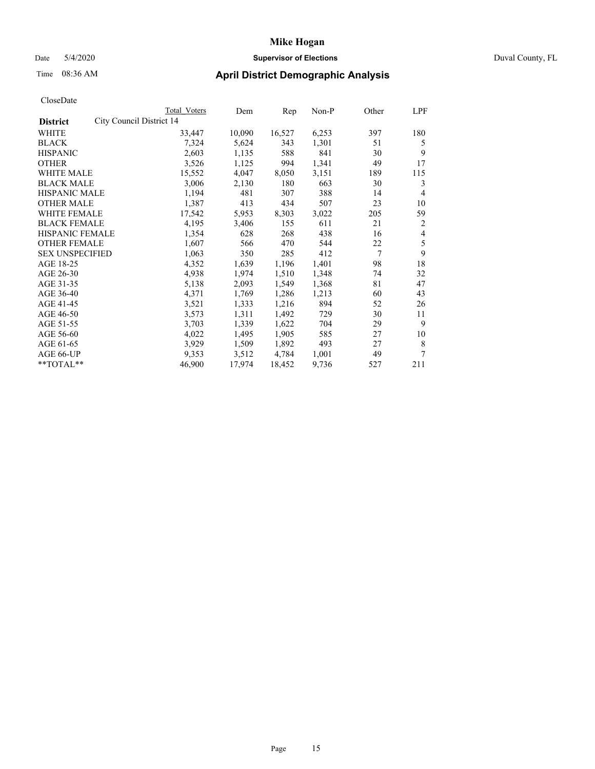# Date 5/4/2020 **Supervisor of Elections** Duval County, FL

# Time 08:36 AM **April District Demographic Analysis**

|                                             | Total Voters | Dem    | Rep    | Non-P | Other | LPF            |
|---------------------------------------------|--------------|--------|--------|-------|-------|----------------|
| City Council District 14<br><b>District</b> |              |        |        |       |       |                |
| WHITE                                       | 33,447       | 10,090 | 16,527 | 6,253 | 397   | 180            |
| <b>BLACK</b>                                | 7,324        | 5,624  | 343    | 1,301 | 51    | 5              |
| <b>HISPANIC</b>                             | 2,603        | 1,135  | 588    | 841   | 30    | 9              |
| <b>OTHER</b>                                | 3,526        | 1,125  | 994    | 1,341 | 49    | 17             |
| WHITE MALE                                  | 15,552       | 4,047  | 8,050  | 3,151 | 189   | 115            |
| <b>BLACK MALE</b>                           | 3,006        | 2,130  | 180    | 663   | 30    | 3              |
| HISPANIC MALE                               | 1,194        | 481    | 307    | 388   | 14    | 4              |
| <b>OTHER MALE</b>                           | 1,387        | 413    | 434    | 507   | 23    | 10             |
| <b>WHITE FEMALE</b>                         | 17,542       | 5,953  | 8,303  | 3,022 | 205   | 59             |
| <b>BLACK FEMALE</b>                         | 4,195        | 3,406  | 155    | 611   | 21    | 2              |
| HISPANIC FEMALE                             | 1,354        | 628    | 268    | 438   | 16    | $\overline{4}$ |
| <b>OTHER FEMALE</b>                         | 1,607        | 566    | 470    | 544   | 22    | 5              |
| <b>SEX UNSPECIFIED</b>                      | 1,063        | 350    | 285    | 412   | 7     | 9              |
| AGE 18-25                                   | 4,352        | 1,639  | 1,196  | 1,401 | 98    | 18             |
| AGE 26-30                                   | 4,938        | 1,974  | 1,510  | 1,348 | 74    | 32             |
| AGE 31-35                                   | 5,138        | 2,093  | 1,549  | 1,368 | 81    | 47             |
| AGE 36-40                                   | 4,371        | 1,769  | 1,286  | 1,213 | 60    | 43             |
| AGE 41-45                                   | 3,521        | 1,333  | 1,216  | 894   | 52    | 26             |
| AGE 46-50                                   | 3,573        | 1,311  | 1,492  | 729   | 30    | 11             |
| AGE 51-55                                   | 3,703        | 1,339  | 1,622  | 704   | 29    | 9              |
| AGE 56-60                                   | 4,022        | 1,495  | 1,905  | 585   | 27    | 10             |
| AGE 61-65                                   | 3,929        | 1,509  | 1,892  | 493   | 27    | 8              |
| AGE 66-UP                                   | 9,353        | 3,512  | 4,784  | 1,001 | 49    | 7              |
| **TOTAL**                                   | 46,900       | 17,974 | 18,452 | 9,736 | 527   | 211            |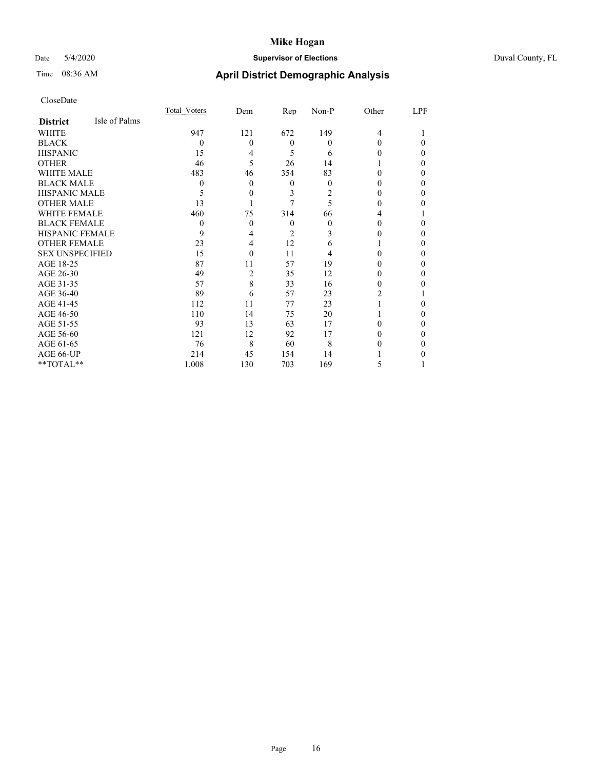# Date 5/4/2020 **Supervisor of Elections** Duval County, FL

# Time 08:36 AM **April District Demographic Analysis**

|                        |               | Total Voters | Dem            | Rep      | Non-P | Other | LPF      |
|------------------------|---------------|--------------|----------------|----------|-------|-------|----------|
| <b>District</b>        | Isle of Palms |              |                |          |       |       |          |
| WHITE                  |               | 947          | 121            | 672      | 149   | 4     |          |
| <b>BLACK</b>           |               | $\Omega$     | 0              | $\theta$ | 0     | 0     | 0        |
| <b>HISPANIC</b>        |               | 15           | 4              | 5        | 6     |       | $\Omega$ |
| <b>OTHER</b>           |               | 46           | 5              | 26       | 14    |       | $\theta$ |
| WHITE MALE             |               | 483          | 46             | 354      | 83    | 0     | $\Omega$ |
| <b>BLACK MALE</b>      |               | 0            | 0              | 0        | 0     |       | $\theta$ |
| HISPANIC MALE          |               | 5            | 0              | 3        | 2     |       | $\Omega$ |
| <b>OTHER MALE</b>      |               | 13           |                |          | 5     | 0     | $\Omega$ |
| <b>WHITE FEMALE</b>    |               | 460          | 75             | 314      | 66    |       |          |
| <b>BLACK FEMALE</b>    |               | $\theta$     | 0              | 0        | 0     | 0     | 0        |
| <b>HISPANIC FEMALE</b> |               | 9            | 4              | 2        | 3     |       | $\Omega$ |
| <b>OTHER FEMALE</b>    |               | 23           | 4              | 12       | 6     |       | $\theta$ |
| <b>SEX UNSPECIFIED</b> |               | 15           | 0              | 11       | 4     | 0     | $\Omega$ |
| AGE 18-25              |               | 87           | 11             | 57       | 19    |       | $\theta$ |
| AGE 26-30              |               | 49           | $\overline{c}$ | 35       | 12    |       | $\Omega$ |
| AGE 31-35              |               | 57           | 8              | 33       | 16    | 0     | 0        |
| AGE 36-40              |               | 89           | 6              | 57       | 23    | 2     |          |
| AGE 41-45              |               | 112          | 11             | 77       | 23    |       | 0        |
| AGE 46-50              |               | 110          | 14             | 75       | 20    |       | $\theta$ |
| AGE 51-55              |               | 93           | 13             | 63       | 17    | 0     | $\Omega$ |
| AGE 56-60              |               | 121          | 12             | 92       | 17    | 0     | 0        |
| AGE 61-65              |               | 76           | 8              | 60       | 8     |       | $\Omega$ |
| AGE 66-UP              |               | 214          | 45             | 154      | 14    |       | 0        |
| **TOTAL**              |               | 1,008        | 130            | 703      | 169   | 5     |          |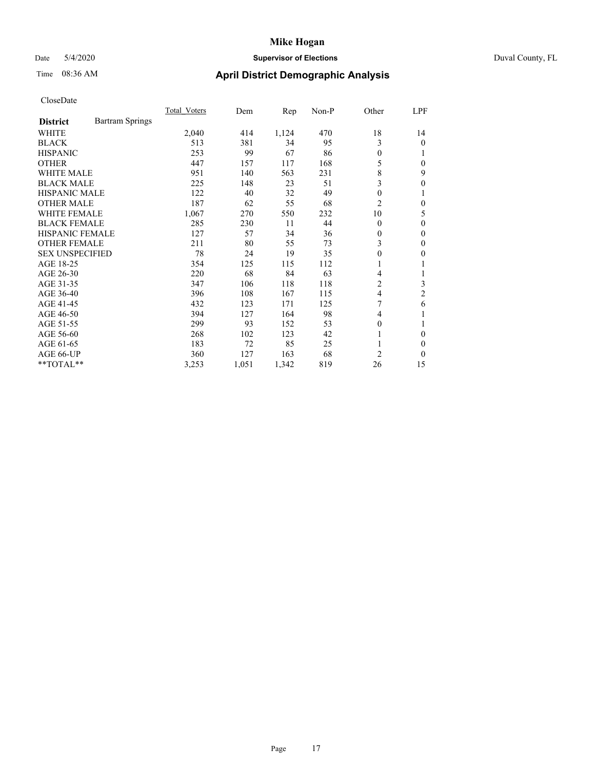# Date 5/4/2020 **Supervisor of Elections** Duval County, FL

# Time 08:36 AM **April District Demographic Analysis**

|                        |                        | <b>Total Voters</b> | Dem   | Rep   | Non-P | Other          | <u>LPF</u>       |
|------------------------|------------------------|---------------------|-------|-------|-------|----------------|------------------|
| <b>District</b>        | <b>Bartram Springs</b> |                     |       |       |       |                |                  |
| WHITE                  |                        | 2,040               | 414   | 1,124 | 470   | 18             | 14               |
| <b>BLACK</b>           |                        | 513                 | 381   | 34    | 95    | 3              | $\theta$         |
| <b>HISPANIC</b>        |                        | 253                 | 99    | 67    | 86    | $\theta$       |                  |
| <b>OTHER</b>           |                        | 447                 | 157   | 117   | 168   | 5              | $\theta$         |
| <b>WHITE MALE</b>      |                        | 951                 | 140   | 563   | 231   | 8              | 9                |
| <b>BLACK MALE</b>      |                        | 225                 | 148   | 23    | 51    | 3              | $\boldsymbol{0}$ |
| <b>HISPANIC MALE</b>   |                        | 122                 | 40    | 32    | 49    | $\mathbf{0}$   |                  |
| <b>OTHER MALE</b>      |                        | 187                 | 62    | 55    | 68    | $\overline{c}$ | $\theta$         |
| WHITE FEMALE           |                        | 1,067               | 270   | 550   | 232   | 10             | 5                |
| <b>BLACK FEMALE</b>    |                        | 285                 | 230   | 11    | 44    | $\theta$       | $\theta$         |
| <b>HISPANIC FEMALE</b> |                        | 127                 | 57    | 34    | 36    | $\mathbf{0}$   | $\theta$         |
| <b>OTHER FEMALE</b>    |                        | 211                 | 80    | 55    | 73    | 3              | $\theta$         |
| <b>SEX UNSPECIFIED</b> |                        | 78                  | 24    | 19    | 35    | $\theta$       | 0                |
| AGE 18-25              |                        | 354                 | 125   | 115   | 112   | 1              |                  |
| AGE 26-30              |                        | 220                 | 68    | 84    | 63    | 4              |                  |
| AGE 31-35              |                        | 347                 | 106   | 118   | 118   | 2              | 3                |
| AGE 36-40              |                        | 396                 | 108   | 167   | 115   | $\overline{4}$ | $\overline{c}$   |
| AGE 41-45              |                        | 432                 | 123   | 171   | 125   | 7              | 6                |
| AGE 46-50              |                        | 394                 | 127   | 164   | 98    | 4              |                  |
| AGE 51-55              |                        | 299                 | 93    | 152   | 53    | $\mathbf{0}$   |                  |
| AGE 56-60              |                        | 268                 | 102   | 123   | 42    | 1              | $\theta$         |
| AGE 61-65              |                        | 183                 | 72    | 85    | 25    |                | $\Omega$         |
| AGE 66-UP              |                        | 360                 | 127   | 163   | 68    | 2              | $\theta$         |
| $*$ $TOTAL**$          |                        | 3,253               | 1,051 | 1,342 | 819   | 26             | 15               |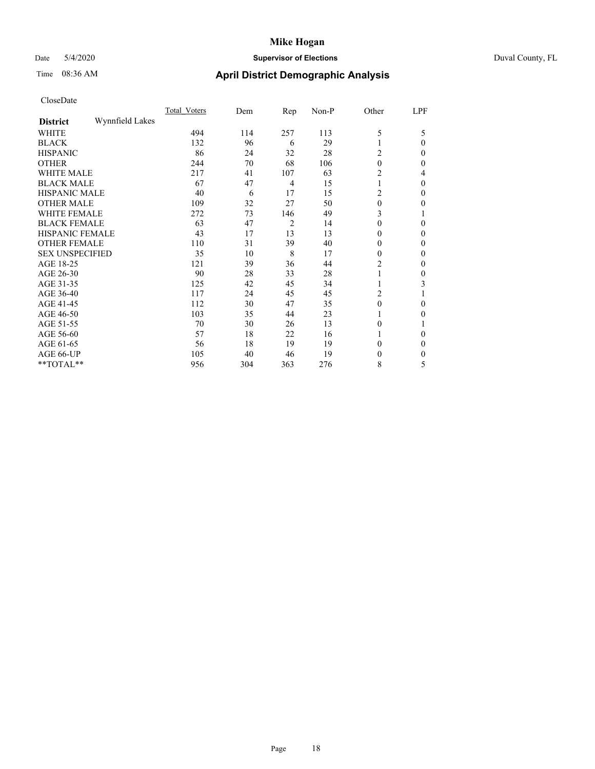# Date 5/4/2020 **Supervisor of Elections** Duval County, FL

# Time 08:36 AM **April District Demographic Analysis**

|                        |                 | Total Voters | Dem | Rep            | Non-P | Other            | LPF          |
|------------------------|-----------------|--------------|-----|----------------|-------|------------------|--------------|
| <b>District</b>        | Wynnfield Lakes |              |     |                |       |                  |              |
| WHITE                  |                 | 494          | 114 | 257            | 113   | 5                | 5            |
| <b>BLACK</b>           |                 | 132          | 96  | 6              | 29    |                  | $\Omega$     |
| <b>HISPANIC</b>        |                 | 86           | 24  | 32             | 28    | 2                | $\Omega$     |
| <b>OTHER</b>           |                 | 244          | 70  | 68             | 106   | $\theta$         | $\Omega$     |
| WHITE MALE             |                 | 217          | 41  | 107            | 63    | 2                | 4            |
| <b>BLACK MALE</b>      |                 | 67           | 47  | $\overline{4}$ | 15    |                  | $\theta$     |
| <b>HISPANIC MALE</b>   |                 | 40           | 6   | 17             | 15    | 2                | $\Omega$     |
| <b>OTHER MALE</b>      |                 | 109          | 32  | 27             | 50    | $\mathbf{0}$     | 0            |
| WHITE FEMALE           |                 | 272          | 73  | 146            | 49    | 3                |              |
| <b>BLACK FEMALE</b>    |                 | 63           | 47  | $\overline{2}$ | 14    | $\theta$         | $\Omega$     |
| HISPANIC FEMALE        |                 | 43           | 17  | 13             | 13    | 0                | $\Omega$     |
| <b>OTHER FEMALE</b>    |                 | 110          | 31  | 39             | 40    | $\theta$         | $\Omega$     |
| <b>SEX UNSPECIFIED</b> |                 | 35           | 10  | 8              | 17    | $\theta$         | $\Omega$     |
| AGE 18-25              |                 | 121          | 39  | 36             | 44    | 2                | $\theta$     |
| AGE 26-30              |                 | 90           | 28  | 33             | 28    |                  | $\mathbf{0}$ |
| AGE 31-35              |                 | 125          | 42  | 45             | 34    |                  | 3            |
| AGE 36-40              |                 | 117          | 24  | 45             | 45    | 2                |              |
| AGE 41-45              |                 | 112          | 30  | 47             | 35    | $\boldsymbol{0}$ | $\Omega$     |
| AGE 46-50              |                 | 103          | 35  | 44             | 23    |                  | $\Omega$     |
| AGE 51-55              |                 | 70           | 30  | 26             | 13    | $\theta$         |              |
| AGE 56-60              |                 | 57           | 18  | 22             | 16    |                  | 0            |
| AGE 61-65              |                 | 56           | 18  | 19             | 19    | 0                | $\theta$     |
| AGE 66-UP              |                 | 105          | 40  | 46             | 19    | 0                | $\Omega$     |
| **TOTAL**              |                 | 956          | 304 | 363            | 276   | 8                | 5            |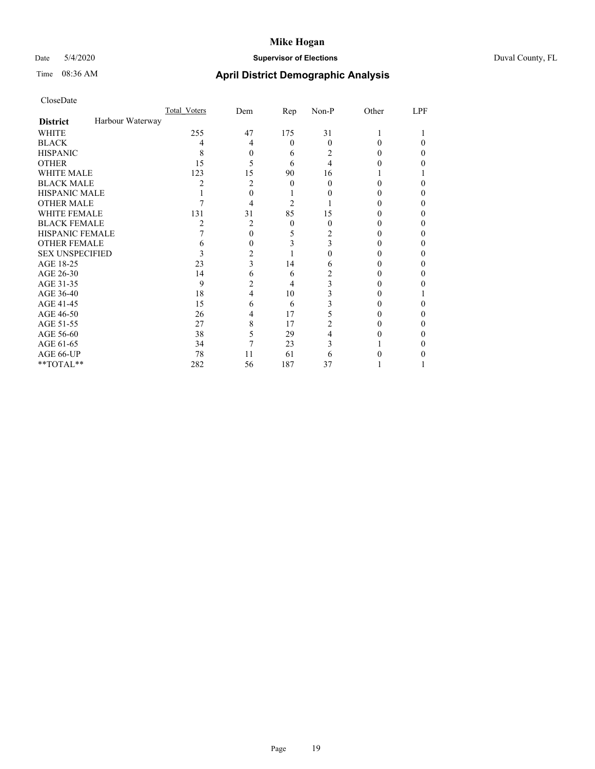# Date 5/4/2020 **Supervisor of Elections** Duval County, FL

# Time 08:36 AM **April District Demographic Analysis**

|                        |                  | Total Voters | Dem | Rep      | Non-P    | Other | LPF |
|------------------------|------------------|--------------|-----|----------|----------|-------|-----|
| <b>District</b>        | Harbour Waterway |              |     |          |          |       |     |
| <b>WHITE</b>           |                  | 255          | 47  | 175      | 31       |       |     |
| <b>BLACK</b>           |                  | 4            | 4   | $\theta$ | $\Omega$ | 0     | 0   |
| <b>HISPANIC</b>        |                  | 8            | 0   | 6        | 2        | 0     | 0   |
| <b>OTHER</b>           |                  | 15           | 5   | 6        | 4        |       |     |
| WHITE MALE             |                  | 123          | 15  | 90       | 16       |       |     |
| <b>BLACK MALE</b>      |                  | 2            | 2   | 0        | 0        | 0     |     |
| <b>HISPANIC MALE</b>   |                  |              | 0   |          |          |       |     |
| <b>OTHER MALE</b>      |                  |              | 4   | 2        |          |       | 0   |
| WHITE FEMALE           |                  | 131          | 31  | 85       | 15       |       |     |
| <b>BLACK FEMALE</b>    |                  | 2            | 2   | $\theta$ | $\Omega$ | 0     | 0   |
| HISPANIC FEMALE        |                  |              | 0   | 5        | 2        |       |     |
| <b>OTHER FEMALE</b>    |                  | 6            | 0   | 3        | 3        |       | 0   |
| <b>SEX UNSPECIFIED</b> |                  | 3            | 2   |          |          |       |     |
| AGE 18-25              |                  | 23           | 3   | 14       | 6        |       |     |
| AGE 26-30              |                  | 14           | 6   | 6        | 2        |       | 0   |
| AGE 31-35              |                  | 9            | 2   | 4        | 3        |       |     |
| AGE 36-40              |                  | 18           | 4   | 10       | 3        |       |     |
| AGE 41-45              |                  | 15           | 6   | 6        | 3        |       | 0   |
| AGE 46-50              |                  | 26           | 4   | 17       | 5        |       | 0   |
| AGE 51-55              |                  | 27           | 8   | 17       | 2        |       |     |
| AGE 56-60              |                  | 38           | 5   | 29       | 4        |       |     |
| AGE 61-65              |                  | 34           | 7   | 23       | 3        |       |     |
| AGE 66-UP              |                  | 78           | 11  | 61       | 6        |       |     |
| $**TOTAL**$            |                  | 282          | 56  | 187      | 37       |       |     |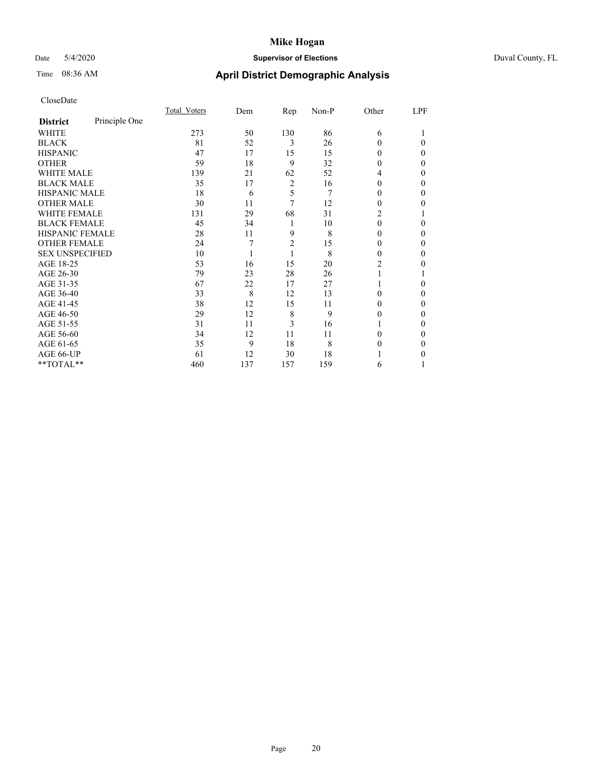# Date 5/4/2020 **Supervisor of Elections** Duval County, FL

# Time 08:36 AM **April District Demographic Analysis**

|                        |               | Total Voters | Dem | Rep            | Non-P | Other          | LPF      |
|------------------------|---------------|--------------|-----|----------------|-------|----------------|----------|
| <b>District</b>        | Principle One |              |     |                |       |                |          |
| WHITE                  |               | 273          | 50  | 130            | 86    | 6              |          |
| <b>BLACK</b>           |               | 81           | 52  | 3              | 26    | 0              | 0        |
| <b>HISPANIC</b>        |               | 47           | 17  | 15             | 15    | 0              | 0        |
| <b>OTHER</b>           |               | 59           | 18  | 9              | 32    | 0              | $\Omega$ |
| WHITE MALE             |               | 139          | 21  | 62             | 52    | 4              | 0        |
| <b>BLACK MALE</b>      |               | 35           | 17  | $\overline{c}$ | 16    | 0              | 0        |
| <b>HISPANIC MALE</b>   |               | 18           | 6   | 5              | 7     | 0              | 0        |
| <b>OTHER MALE</b>      |               | 30           | 11  | 7              | 12    | $\Omega$       | 0        |
| WHITE FEMALE           |               | 131          | 29  | 68             | 31    | $\overline{c}$ |          |
| <b>BLACK FEMALE</b>    |               | 45           | 34  | 1              | 10    | 0              | 0        |
| <b>HISPANIC FEMALE</b> |               | 28           | 11  | 9              | 8     | 0              | $\Omega$ |
| <b>OTHER FEMALE</b>    |               | 24           | 7   | $\overline{2}$ | 15    | $\Omega$       | 0        |
| <b>SEX UNSPECIFIED</b> |               | 10           |     | 1              | 8     | 0              | 0        |
| AGE 18-25              |               | 53           | 16  | 15             | 20    | $\overline{c}$ | 0        |
| AGE 26-30              |               | 79           | 23  | 28             | 26    |                |          |
| AGE 31-35              |               | 67           | 22  | 17             | 27    |                | 0        |
| AGE 36-40              |               | 33           | 8   | 12             | 13    | 0              | 0        |
| AGE 41-45              |               | 38           | 12  | 15             | 11    | 0              | 0        |
| AGE 46-50              |               | 29           | 12  | 8              | 9     | 0              | $\Omega$ |
| AGE 51-55              |               | 31           | 11  | 3              | 16    |                | 0        |
| AGE 56-60              |               | 34           | 12  | 11             | 11    | 0              | 0        |
| AGE 61-65              |               | 35           | 9   | 18             | 8     | 0              | 0        |
| AGE 66-UP              |               | 61           | 12  | 30             | 18    |                | 0        |
| **TOTAL**              |               | 460          | 137 | 157            | 159   | 6              |          |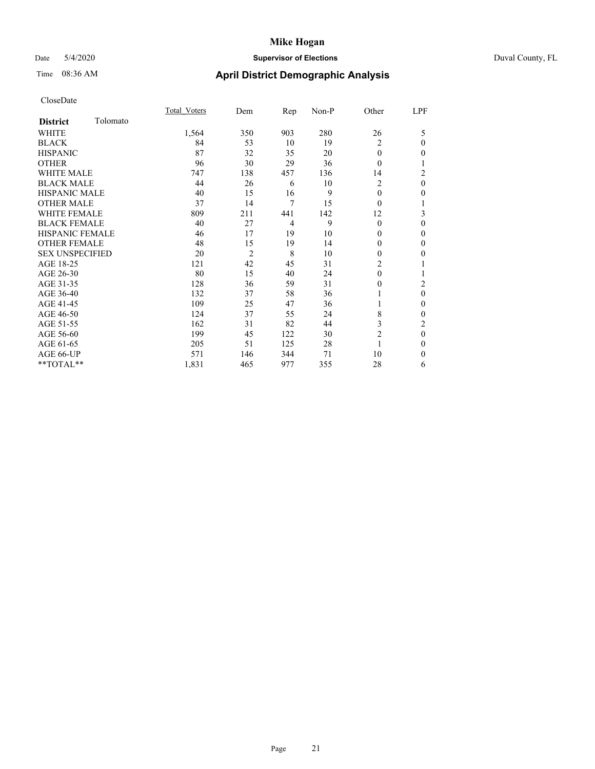# Date 5/4/2020 **Supervisor of Elections** Duval County, FL

# Time 08:36 AM **April District Demographic Analysis**

|                        |          | Total Voters | Dem            | <b>Rep</b>     | Non-P | Other          | LPF            |
|------------------------|----------|--------------|----------------|----------------|-------|----------------|----------------|
| <b>District</b>        | Tolomato |              |                |                |       |                |                |
| WHITE                  |          | 1,564        | 350            | 903            | 280   | 26             | 5              |
| <b>BLACK</b>           |          | 84           | 53             | 10             | 19    | 2              | $\mathbf{0}$   |
| <b>HISPANIC</b>        |          | 87           | 32             | 35             | 20    | $\theta$       | $\mathbf{0}$   |
| <b>OTHER</b>           |          | 96           | 30             | 29             | 36    | $\theta$       | 1              |
| <b>WHITE MALE</b>      |          | 747          | 138            | 457            | 136   | 14             | 2              |
| <b>BLACK MALE</b>      |          | 44           | 26             | 6              | 10    | 2              | $\mathbf{0}$   |
| <b>HISPANIC MALE</b>   |          | 40           | 15             | 16             | 9     | $\theta$       | $\mathbf{0}$   |
| <b>OTHER MALE</b>      |          | 37           | 14             | 7              | 15    | $\Omega$       | 1              |
| <b>WHITE FEMALE</b>    |          | 809          | 211            | 441            | 142   | 12             | 3              |
| <b>BLACK FEMALE</b>    |          | 40           | 27             | $\overline{4}$ | 9     | $\theta$       | $\mathbf{0}$   |
| HISPANIC FEMALE        |          | 46           | 17             | 19             | 10    | 0              | $\theta$       |
| <b>OTHER FEMALE</b>    |          | 48           | 15             | 19             | 14    | 0              | $\mathbf{0}$   |
| <b>SEX UNSPECIFIED</b> |          | 20           | $\overline{c}$ | 8              | 10    | 0              | $\mathbf{0}$   |
| AGE 18-25              |          | 121          | 42             | 45             | 31    | $\overline{c}$ | 1              |
| AGE 26-30              |          | 80           | 15             | 40             | 24    | 0              | 1              |
| AGE 31-35              |          | 128          | 36             | 59             | 31    | 0              | $\overline{c}$ |
| AGE 36-40              |          | 132          | 37             | 58             | 36    |                | $\mathbf{0}$   |
| AGE 41-45              |          | 109          | 25             | 47             | 36    |                | $\mathbf{0}$   |
| AGE 46-50              |          | 124          | 37             | 55             | 24    | 8              | $\mathbf{0}$   |
| AGE 51-55              |          | 162          | 31             | 82             | 44    | 3              | 2              |
| AGE 56-60              |          | 199          | 45             | 122            | 30    | $\overline{2}$ | $\theta$       |
| AGE 61-65              |          | 205          | 51             | 125            | 28    |                | $\mathbf{0}$   |
| AGE 66-UP              |          | 571          | 146            | 344            | 71    | 10             | $\theta$       |
| **TOTAL**              |          | 1,831        | 465            | 977            | 355   | 28             | 6              |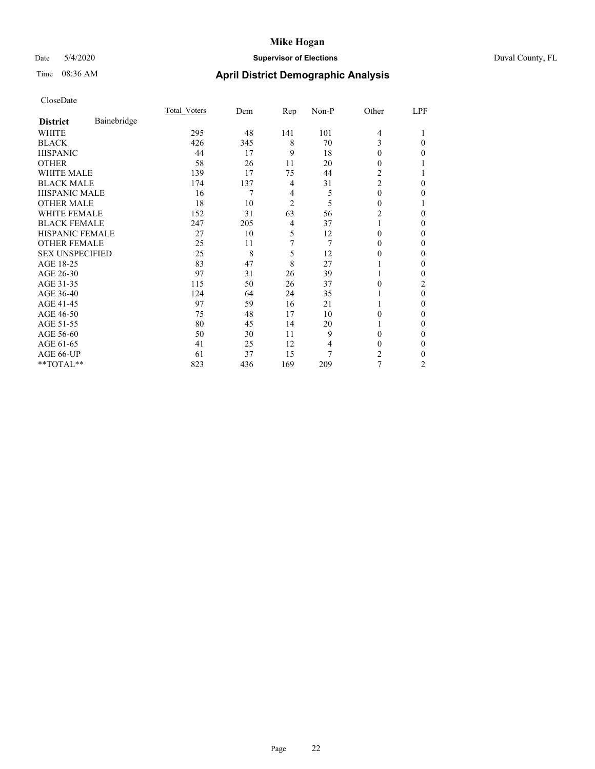# Date 5/4/2020 **Supervisor of Elections** Duval County, FL

# Time 08:36 AM **April District Demographic Analysis**

|                        |             | Total Voters | Dem | Rep            | Non-P | Other          | LPF              |
|------------------------|-------------|--------------|-----|----------------|-------|----------------|------------------|
| <b>District</b>        | Bainebridge |              |     |                |       |                |                  |
| WHITE                  |             | 295          | 48  | 141            | 101   | 4              |                  |
| <b>BLACK</b>           |             | 426          | 345 | 8              | 70    | 3              | 0                |
| <b>HISPANIC</b>        |             | 44           | 17  | 9              | 18    | $\theta$       | 0                |
| <b>OTHER</b>           |             | 58           | 26  | 11             | 20    | $\Omega$       |                  |
| WHITE MALE             |             | 139          | 17  | 75             | 44    | 2              |                  |
| <b>BLACK MALE</b>      |             | 174          | 137 | 4              | 31    | $\overline{c}$ | 0                |
| <b>HISPANIC MALE</b>   |             | 16           | 7   | 4              | 5     | $\theta$       | 0                |
| <b>OTHER MALE</b>      |             | 18           | 10  | $\overline{c}$ | 5     | $\Omega$       |                  |
| WHITE FEMALE           |             | 152          | 31  | 63             | 56    | $\overline{c}$ | 0                |
| <b>BLACK FEMALE</b>    |             | 247          | 205 | 4              | 37    |                | 0                |
| HISPANIC FEMALE        |             | 27           | 10  | 5              | 12    | $\Omega$       | 0                |
| <b>OTHER FEMALE</b>    |             | 25           | 11  | 7              | 7     | $\Omega$       | 0                |
| <b>SEX UNSPECIFIED</b> |             | 25           | 8   | 5              | 12    | $\theta$       | 0                |
| AGE 18-25              |             | 83           | 47  | 8              | 27    |                | 0                |
| AGE 26-30              |             | 97           | 31  | 26             | 39    |                | 0                |
| AGE 31-35              |             | 115          | 50  | 26             | 37    | 0              | 2                |
| AGE 36-40              |             | 124          | 64  | 24             | 35    |                | $\boldsymbol{0}$ |
| AGE 41-45              |             | 97           | 59  | 16             | 21    |                | 0                |
| AGE 46-50              |             | 75           | 48  | 17             | 10    | $\Omega$       | 0                |
| AGE 51-55              |             | 80           | 45  | 14             | 20    |                | 0                |
| AGE 56-60              |             | 50           | 30  | 11             | 9     | $\theta$       | 0                |
| AGE 61-65              |             | 41           | 25  | 12             | 4     | $\theta$       | 0                |
| AGE 66-UP              |             | 61           | 37  | 15             | 7     | 2              | 0                |
| **TOTAL**              |             | 823          | 436 | 169            | 209   | 7              | $\overline{c}$   |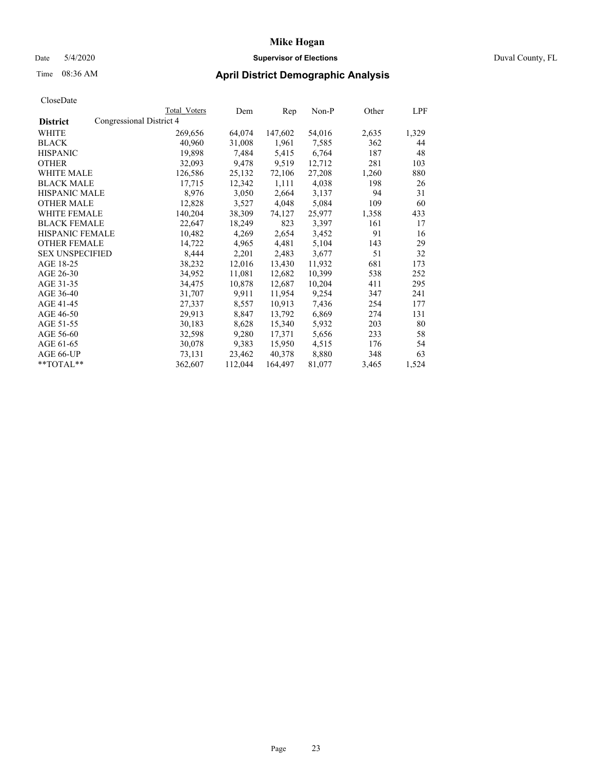# Date 5/4/2020 **Supervisor of Elections** Duval County, FL

# Time 08:36 AM **April District Demographic Analysis**

|                        |                          | Total Voters | Dem     | Rep     | Non-P  | Other | LPF   |
|------------------------|--------------------------|--------------|---------|---------|--------|-------|-------|
| <b>District</b>        | Congressional District 4 |              |         |         |        |       |       |
| WHITE                  |                          | 269,656      | 64,074  | 147,602 | 54,016 | 2,635 | 1,329 |
| <b>BLACK</b>           |                          | 40,960       | 31,008  | 1,961   | 7,585  | 362   | 44    |
| <b>HISPANIC</b>        |                          | 19,898       | 7,484   | 5,415   | 6,764  | 187   | 48    |
| <b>OTHER</b>           |                          | 32,093       | 9,478   | 9,519   | 12,712 | 281   | 103   |
| WHITE MALE             |                          | 126,586      | 25,132  | 72,106  | 27,208 | 1,260 | 880   |
| <b>BLACK MALE</b>      |                          | 17,715       | 12,342  | 1,111   | 4,038  | 198   | 26    |
| <b>HISPANIC MALE</b>   |                          | 8,976        | 3,050   | 2,664   | 3,137  | 94    | 31    |
| <b>OTHER MALE</b>      |                          | 12,828       | 3,527   | 4,048   | 5,084  | 109   | 60    |
| <b>WHITE FEMALE</b>    |                          | 140,204      | 38,309  | 74,127  | 25,977 | 1,358 | 433   |
| <b>BLACK FEMALE</b>    |                          | 22,647       | 18,249  | 823     | 3,397  | 161   | 17    |
| HISPANIC FEMALE        |                          | 10,482       | 4,269   | 2,654   | 3,452  | 91    | 16    |
| <b>OTHER FEMALE</b>    |                          | 14,722       | 4,965   | 4,481   | 5,104  | 143   | 29    |
| <b>SEX UNSPECIFIED</b> |                          | 8,444        | 2,201   | 2,483   | 3,677  | 51    | 32    |
| AGE 18-25              |                          | 38,232       | 12,016  | 13,430  | 11,932 | 681   | 173   |
| AGE 26-30              |                          | 34,952       | 11,081  | 12,682  | 10,399 | 538   | 252   |
| AGE 31-35              |                          | 34,475       | 10,878  | 12,687  | 10,204 | 411   | 295   |
| AGE 36-40              |                          | 31,707       | 9,911   | 11,954  | 9,254  | 347   | 241   |
| AGE 41-45              |                          | 27,337       | 8,557   | 10,913  | 7,436  | 254   | 177   |
| AGE 46-50              |                          | 29,913       | 8,847   | 13,792  | 6,869  | 274   | 131   |
| AGE 51-55              |                          | 30,183       | 8,628   | 15,340  | 5,932  | 203   | 80    |
| AGE 56-60              |                          | 32,598       | 9,280   | 17,371  | 5,656  | 233   | 58    |
| AGE 61-65              |                          | 30,078       | 9.383   | 15,950  | 4,515  | 176   | 54    |
| AGE 66-UP              |                          | 73,131       | 23,462  | 40,378  | 8,880  | 348   | 63    |
| $*$ TOTAL $*$          |                          | 362,607      | 112,044 | 164,497 | 81,077 | 3,465 | 1,524 |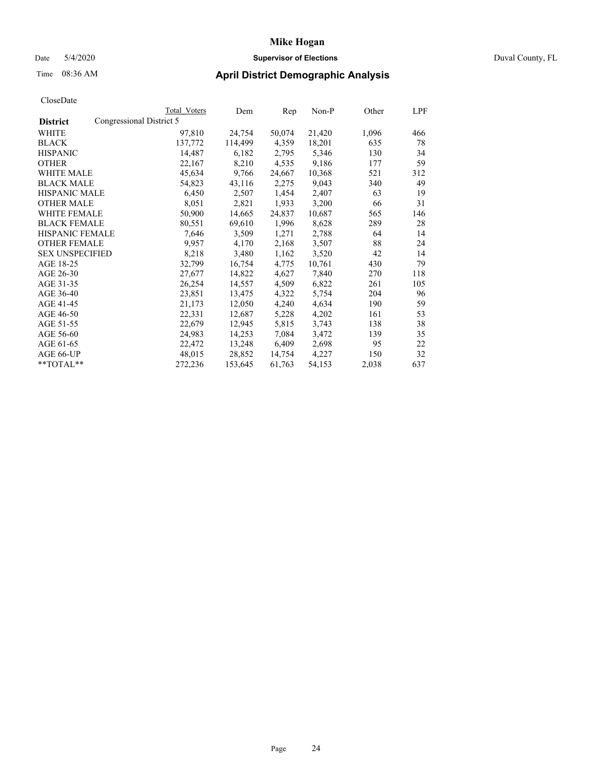# Date 5/4/2020 **Supervisor of Elections** Duval County, FL

# Time 08:36 AM **April District Demographic Analysis**

|                        |                          | Total Voters | Dem     | Rep    | Non-P  | Other | LPF |
|------------------------|--------------------------|--------------|---------|--------|--------|-------|-----|
| <b>District</b>        | Congressional District 5 |              |         |        |        |       |     |
| WHITE                  |                          | 97,810       | 24,754  | 50,074 | 21,420 | 1,096 | 466 |
| <b>BLACK</b>           |                          | 137,772      | 114,499 | 4,359  | 18,201 | 635   | 78  |
| <b>HISPANIC</b>        |                          | 14,487       | 6,182   | 2,795  | 5,346  | 130   | 34  |
| <b>OTHER</b>           |                          | 22,167       | 8,210   | 4,535  | 9,186  | 177   | 59  |
| WHITE MALE             |                          | 45,634       | 9,766   | 24,667 | 10,368 | 521   | 312 |
| <b>BLACK MALE</b>      |                          | 54,823       | 43,116  | 2,275  | 9,043  | 340   | 49  |
| <b>HISPANIC MALE</b>   |                          | 6,450        | 2,507   | 1,454  | 2,407  | 63    | 19  |
| <b>OTHER MALE</b>      |                          | 8,051        | 2,821   | 1,933  | 3,200  | 66    | 31  |
| <b>WHITE FEMALE</b>    |                          | 50,900       | 14,665  | 24,837 | 10,687 | 565   | 146 |
| <b>BLACK FEMALE</b>    |                          | 80,551       | 69,610  | 1,996  | 8,628  | 289   | 28  |
| HISPANIC FEMALE        |                          | 7,646        | 3,509   | 1,271  | 2,788  | 64    | 14  |
| <b>OTHER FEMALE</b>    |                          | 9,957        | 4,170   | 2,168  | 3,507  | 88    | 24  |
| <b>SEX UNSPECIFIED</b> |                          | 8,218        | 3,480   | 1,162  | 3,520  | 42    | 14  |
| AGE 18-25              |                          | 32,799       | 16,754  | 4,775  | 10,761 | 430   | 79  |
| AGE 26-30              |                          | 27,677       | 14,822  | 4,627  | 7,840  | 270   | 118 |
| AGE 31-35              |                          | 26,254       | 14,557  | 4,509  | 6,822  | 261   | 105 |
| AGE 36-40              |                          | 23,851       | 13,475  | 4,322  | 5,754  | 204   | 96  |
| AGE 41-45              |                          | 21,173       | 12,050  | 4,240  | 4,634  | 190   | 59  |
| AGE 46-50              |                          | 22,331       | 12,687  | 5,228  | 4,202  | 161   | 53  |
| AGE 51-55              |                          | 22,679       | 12,945  | 5,815  | 3,743  | 138   | 38  |
| AGE 56-60              |                          | 24,983       | 14,253  | 7,084  | 3,472  | 139   | 35  |
| AGE 61-65              |                          | 22,472       | 13,248  | 6,409  | 2,698  | 95    | 22  |
| AGE 66-UP              |                          | 48,015       | 28,852  | 14,754 | 4,227  | 150   | 32  |
| $*$ TOTAL $*$          |                          | 272,236      | 153,645 | 61,763 | 54,153 | 2,038 | 637 |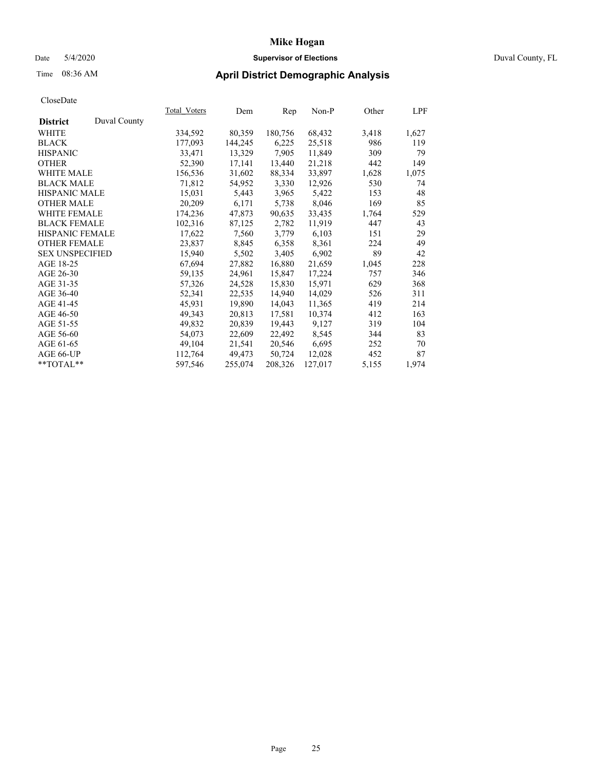# Date 5/4/2020 **Supervisor of Elections** Duval County, FL

# Time 08:36 AM **April District Demographic Analysis**

|                        |              | <b>Total Voters</b> | Dem     | Rep     | $Non-P$ | Other | LPF   |
|------------------------|--------------|---------------------|---------|---------|---------|-------|-------|
| <b>District</b>        | Duval County |                     |         |         |         |       |       |
| WHITE                  |              | 334,592             | 80,359  | 180,756 | 68,432  | 3,418 | 1,627 |
| <b>BLACK</b>           |              | 177,093             | 144,245 | 6,225   | 25,518  | 986   | 119   |
| <b>HISPANIC</b>        |              | 33,471              | 13,329  | 7,905   | 11,849  | 309   | 79    |
| <b>OTHER</b>           |              | 52,390              | 17,141  | 13,440  | 21,218  | 442   | 149   |
| WHITE MALE             |              | 156,536             | 31,602  | 88,334  | 33,897  | 1,628 | 1,075 |
| <b>BLACK MALE</b>      |              | 71,812              | 54,952  | 3,330   | 12,926  | 530   | 74    |
| <b>HISPANIC MALE</b>   |              | 15,031              | 5,443   | 3,965   | 5,422   | 153   | 48    |
| <b>OTHER MALE</b>      |              | 20,209              | 6,171   | 5,738   | 8,046   | 169   | 85    |
| <b>WHITE FEMALE</b>    |              | 174,236             | 47,873  | 90,635  | 33,435  | 1,764 | 529   |
| <b>BLACK FEMALE</b>    |              | 102,316             | 87,125  | 2,782   | 11,919  | 447   | 43    |
| <b>HISPANIC FEMALE</b> |              | 17,622              | 7,560   | 3,779   | 6,103   | 151   | 29    |
| <b>OTHER FEMALE</b>    |              | 23,837              | 8,845   | 6,358   | 8,361   | 224   | 49    |
| <b>SEX UNSPECIFIED</b> |              | 15,940              | 5,502   | 3,405   | 6,902   | 89    | 42    |
| AGE 18-25              |              | 67,694              | 27,882  | 16,880  | 21,659  | 1,045 | 228   |
| AGE 26-30              |              | 59,135              | 24,961  | 15,847  | 17,224  | 757   | 346   |
| AGE 31-35              |              | 57,326              | 24,528  | 15,830  | 15,971  | 629   | 368   |
| AGE 36-40              |              | 52,341              | 22,535  | 14,940  | 14,029  | 526   | 311   |
| AGE 41-45              |              | 45,931              | 19,890  | 14,043  | 11,365  | 419   | 214   |
| AGE 46-50              |              | 49,343              | 20,813  | 17,581  | 10,374  | 412   | 163   |
| AGE 51-55              |              | 49,832              | 20,839  | 19,443  | 9,127   | 319   | 104   |
| AGE 56-60              |              | 54,073              | 22,609  | 22,492  | 8,545   | 344   | 83    |
| AGE 61-65              |              | 49,104              | 21,541  | 20,546  | 6,695   | 252   | 70    |
| AGE 66-UP              |              | 112,764             | 49,473  | 50,724  | 12,028  | 452   | 87    |
| $*$ TOTAL $*$          |              | 597,546             | 255,074 | 208,326 | 127,017 | 5,155 | 1,974 |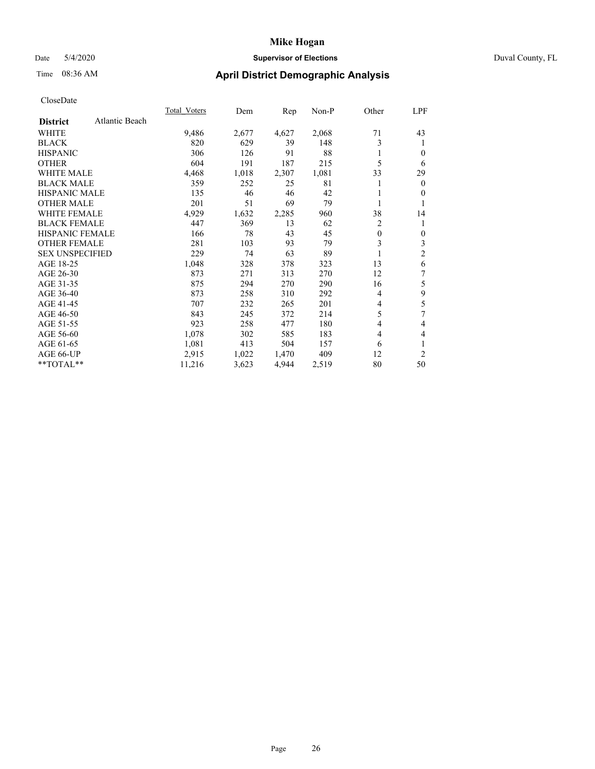## Date 5/4/2020 **Supervisor of Elections** Duval County, FL

# Time 08:36 AM **April District Demographic Analysis**

|                                   | Total Voters | Dem   | Rep   | Non-P | Other    | LPF            |
|-----------------------------------|--------------|-------|-------|-------|----------|----------------|
| Atlantic Beach<br><b>District</b> |              |       |       |       |          |                |
| WHITE                             | 9,486        | 2,677 | 4,627 | 2,068 | 71       | 43             |
| <b>BLACK</b>                      | 820          | 629   | 39    | 148   | 3        | 1              |
| <b>HISPANIC</b>                   | 306          | 126   | 91    | 88    |          | $\Omega$       |
| <b>OTHER</b>                      | 604          | 191   | 187   | 215   | 5        | 6              |
| <b>WHITE MALE</b>                 | 4,468        | 1,018 | 2,307 | 1,081 | 33       | 29             |
| <b>BLACK MALE</b>                 | 359          | 252   | 25    | 81    |          | $\overline{0}$ |
| <b>HISPANIC MALE</b>              | 135          | 46    | 46    | 42    |          | $\mathbf{0}$   |
| <b>OTHER MALE</b>                 | 201          | 51    | 69    | 79    | 1        | 1              |
| <b>WHITE FEMALE</b>               | 4,929        | 1,632 | 2,285 | 960   | 38       | 14             |
| <b>BLACK FEMALE</b>               | 447          | 369   | 13    | 62    | 2        | 1              |
| <b>HISPANIC FEMALE</b>            | 166          | 78    | 43    | 45    | $\theta$ | $\mathbf{0}$   |
| <b>OTHER FEMALE</b>               | 281          | 103   | 93    | 79    | 3        | 3              |
| <b>SEX UNSPECIFIED</b>            | 229          | 74    | 63    | 89    | 1        | $\overline{c}$ |
| AGE 18-25                         | 1,048        | 328   | 378   | 323   | 13       | 6              |
| AGE 26-30                         | 873          | 271   | 313   | 270   | 12       | 7              |
| AGE 31-35                         | 875          | 294   | 270   | 290   | 16       | 5              |
| AGE 36-40                         | 873          | 258   | 310   | 292   | 4        | 9              |
| AGE 41-45                         | 707          | 232   | 265   | 201   | 4        | 5              |
| AGE 46-50                         | 843          | 245   | 372   | 214   | 5        | 7              |
| AGE 51-55                         | 923          | 258   | 477   | 180   | 4        | 4              |
| AGE 56-60                         | 1,078        | 302   | 585   | 183   | 4        | 4              |
| AGE 61-65                         | 1,081        | 413   | 504   | 157   | 6        | 1              |
| AGE 66-UP                         | 2,915        | 1,022 | 1,470 | 409   | 12       | $\overline{c}$ |
| **TOTAL**                         | 11,216       | 3,623 | 4,944 | 2,519 | 80       | 50             |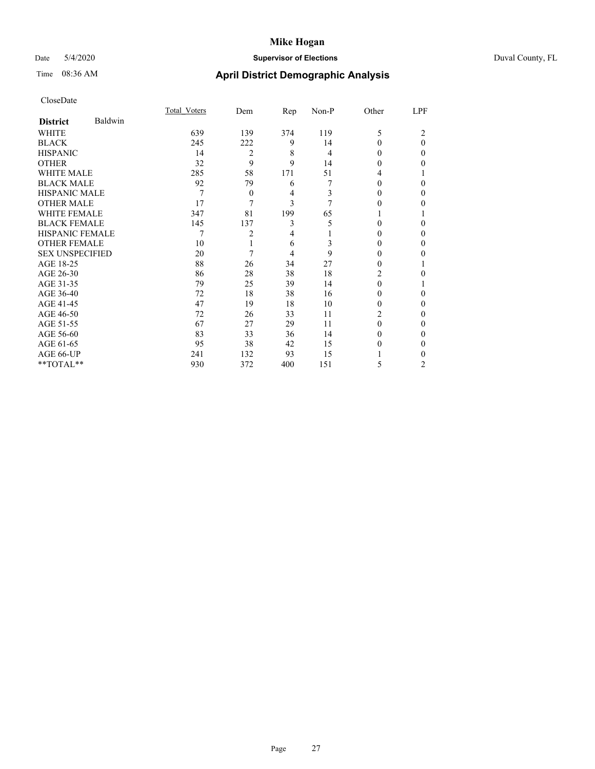# Date 5/4/2020 **Supervisor of Elections** Duval County, FL

# Time 08:36 AM **April District Demographic Analysis**

|                        |         | Total Voters | Dem            | Rep            | Non-P | Other    | LPF      |
|------------------------|---------|--------------|----------------|----------------|-------|----------|----------|
| <b>District</b>        | Baldwin |              |                |                |       |          |          |
| WHITE                  |         | 639          | 139            | 374            | 119   | 5        | 2        |
| <b>BLACK</b>           |         | 245          | 222            | 9              | 14    | $\Omega$ | $\Omega$ |
| <b>HISPANIC</b>        |         | 14           | $\overline{2}$ | 8              | 4     | 0        | $\Omega$ |
| <b>OTHER</b>           |         | 32           | 9              | 9              | 14    | 0        | 0        |
| WHITE MALE             |         | 285          | 58             | 171            | 51    | 4        |          |
| <b>BLACK MALE</b>      |         | 92           | 79             | 6              | 7     | 0        | 0        |
| <b>HISPANIC MALE</b>   |         | 7            | $\mathbf{0}$   | 4              | 3     | 0        | 0        |
| <b>OTHER MALE</b>      |         | 17           | 7              | 3              | 7     | 0        | 0        |
| WHITE FEMALE           |         | 347          | 81             | 199            | 65    |          |          |
| <b>BLACK FEMALE</b>    |         | 145          | 137            | 3              | 5     | 0        | $\Omega$ |
| <b>HISPANIC FEMALE</b> |         | 7            | 2              | $\overline{4}$ |       | 0        | $\Omega$ |
| <b>OTHER FEMALE</b>    |         | 10           | 1              | 6              | 3     | 0        | 0        |
| <b>SEX UNSPECIFIED</b> |         | 20           | 7              | 4              | 9     | 0        | 0        |
| AGE 18-25              |         | 88           | 26             | 34             | 27    | 0        |          |
| AGE 26-30              |         | 86           | 28             | 38             | 18    | 2        | 0        |
| AGE 31-35              |         | 79           | 25             | 39             | 14    | 0        |          |
| AGE 36-40              |         | 72           | 18             | 38             | 16    | 0        | 0        |
| AGE 41-45              |         | 47           | 19             | 18             | 10    | 0        | 0        |
| AGE 46-50              |         | 72           | 26             | 33             | 11    | 2        | $\Omega$ |
| AGE 51-55              |         | 67           | 27             | 29             | 11    | 0        | $\Omega$ |
| AGE 56-60              |         | 83           | 33             | 36             | 14    | 0        | 0        |
| AGE 61-65              |         | 95           | 38             | 42             | 15    | 0        | 0        |
| AGE 66-UP              |         | 241          | 132            | 93             | 15    |          | 0        |
| **TOTAL**              |         | 930          | 372            | 400            | 151   | 5        | 2        |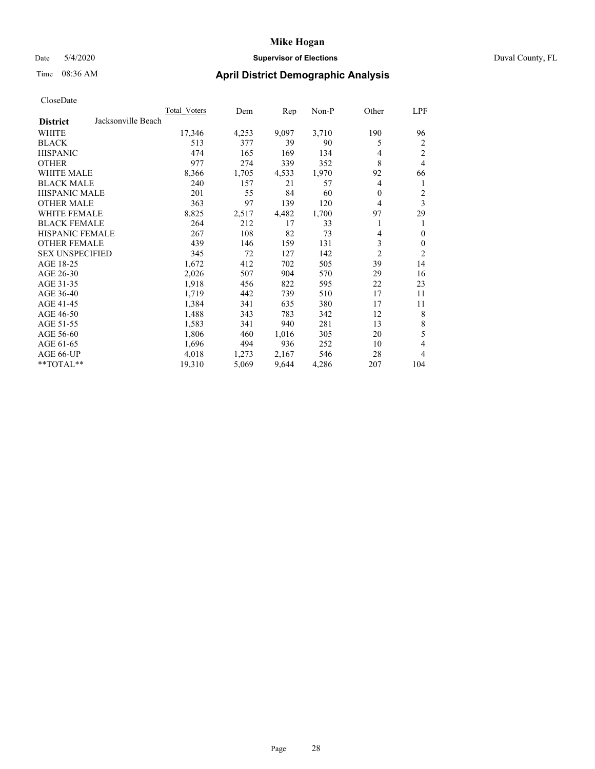# Date 5/4/2020 **Supervisor of Elections** Duval County, FL

# Time 08:36 AM **April District Demographic Analysis**

|                                       | <b>Total Voters</b> | Dem   | Rep   | Non-P | Other | LPF            |
|---------------------------------------|---------------------|-------|-------|-------|-------|----------------|
| Jacksonville Beach<br><b>District</b> |                     |       |       |       |       |                |
| WHITE                                 | 17,346              | 4,253 | 9,097 | 3,710 | 190   | 96             |
| <b>BLACK</b>                          | 513                 | 377   | 39    | 90    | 5     | 2              |
| <b>HISPANIC</b>                       | 474                 | 165   | 169   | 134   | 4     | 2              |
| <b>OTHER</b>                          | 977                 | 274   | 339   | 352   | 8     | $\overline{4}$ |
| <b>WHITE MALE</b>                     | 8,366               | 1,705 | 4,533 | 1,970 | 92    | 66             |
| <b>BLACK MALE</b>                     | 240                 | 157   | 21    | 57    | 4     | 1              |
| HISPANIC MALE                         | 201                 | 55    | 84    | 60    | 0     | 2              |
| <b>OTHER MALE</b>                     | 363                 | 97    | 139   | 120   | 4     | 3              |
| <b>WHITE FEMALE</b>                   | 8,825               | 2,517 | 4,482 | 1,700 | 97    | 29             |
| <b>BLACK FEMALE</b>                   | 264                 | 212   | 17    | 33    |       |                |
| <b>HISPANIC FEMALE</b>                | 267                 | 108   | 82    | 73    | 4     | $\theta$       |
| <b>OTHER FEMALE</b>                   | 439                 | 146   | 159   | 131   | 3     | $\mathbf{0}$   |
| <b>SEX UNSPECIFIED</b>                | 345                 | 72    | 127   | 142   | 2     | $\overline{2}$ |
| AGE 18-25                             | 1,672               | 412   | 702   | 505   | 39    | 14             |
| AGE 26-30                             | 2,026               | 507   | 904   | 570   | 29    | 16             |
| AGE 31-35                             | 1,918               | 456   | 822   | 595   | 22    | 23             |
| AGE 36-40                             | 1,719               | 442   | 739   | 510   | 17    | 11             |
| AGE 41-45                             | 1,384               | 341   | 635   | 380   | 17    | 11             |
| AGE 46-50                             | 1,488               | 343   | 783   | 342   | 12    | 8              |
| AGE 51-55                             | 1,583               | 341   | 940   | 281   | 13    | $\,$ 8 $\,$    |
| AGE 56-60                             | 1,806               | 460   | 1,016 | 305   | 20    | 5              |
| AGE 61-65                             | 1,696               | 494   | 936   | 252   | 10    | 4              |
| AGE 66-UP                             | 4,018               | 1,273 | 2,167 | 546   | 28    | 4              |
| **TOTAL**                             | 19,310              | 5,069 | 9,644 | 4,286 | 207   | 104            |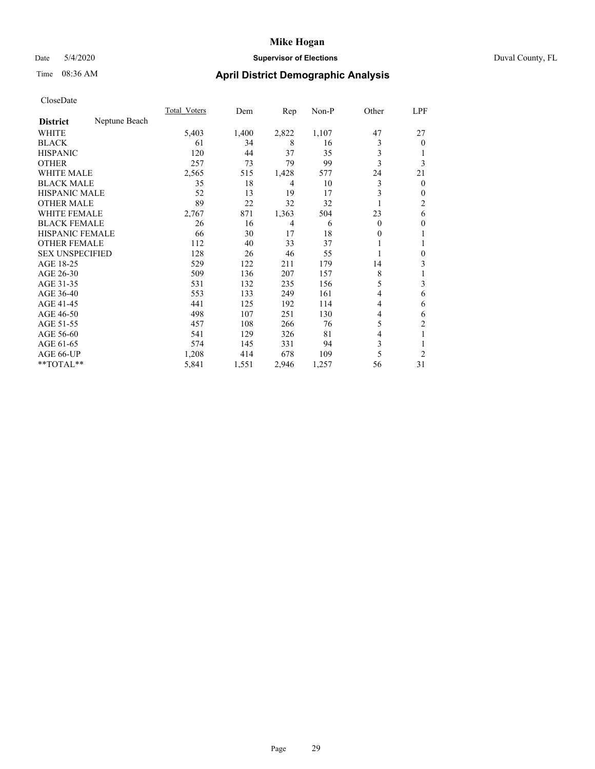# Date 5/4/2020 **Supervisor of Elections** Duval County, FL

# Time 08:36 AM **April District Demographic Analysis**

|                        |               | Total Voters | Dem   | Rep   | Non-P | Other    | LPF            |
|------------------------|---------------|--------------|-------|-------|-------|----------|----------------|
| <b>District</b>        | Neptune Beach |              |       |       |       |          |                |
| WHITE                  |               | 5,403        | 1,400 | 2,822 | 1,107 | 47       | 27             |
| <b>BLACK</b>           |               | 61           | 34    | 8     | 16    | 3        | $\theta$       |
| <b>HISPANIC</b>        |               | 120          | 44    | 37    | 35    | 3        |                |
| <b>OTHER</b>           |               | 257          | 73    | 79    | 99    | 3        | 3              |
| WHITE MALE             |               | 2,565        | 515   | 1,428 | 577   | 24       | 21             |
| <b>BLACK MALE</b>      |               | 35           | 18    | 4     | 10    | 3        | $\theta$       |
| <b>HISPANIC MALE</b>   |               | 52           | 13    | 19    | 17    | 3        | $\mathbf{0}$   |
| <b>OTHER MALE</b>      |               | 89           | 22    | 32    | 32    |          | $\overline{c}$ |
| WHITE FEMALE           |               | 2,767        | 871   | 1,363 | 504   | 23       | 6              |
| <b>BLACK FEMALE</b>    |               | 26           | 16    | 4     | 6     | $\Omega$ | $\mathbf{0}$   |
| <b>HISPANIC FEMALE</b> |               | 66           | 30    | 17    | 18    | 0        | 1              |
| <b>OTHER FEMALE</b>    |               | 112          | 40    | 33    | 37    |          | 1              |
| <b>SEX UNSPECIFIED</b> |               | 128          | 26    | 46    | 55    |          | $\mathbf{0}$   |
| AGE 18-25              |               | 529          | 122   | 211   | 179   | 14       | 3              |
| AGE 26-30              |               | 509          | 136   | 207   | 157   | 8        | 1              |
| AGE 31-35              |               | 531          | 132   | 235   | 156   | 5        | 3              |
| AGE 36-40              |               | 553          | 133   | 249   | 161   | 4        | 6              |
| AGE 41-45              |               | 441          | 125   | 192   | 114   | 4        | 6              |
| AGE 46-50              |               | 498          | 107   | 251   | 130   | 4        | 6              |
| AGE 51-55              |               | 457          | 108   | 266   | 76    | 5        | $\overline{c}$ |
| AGE 56-60              |               | 541          | 129   | 326   | 81    | 4        | 1              |
| AGE 61-65              |               | 574          | 145   | 331   | 94    | 3        | 1              |
| AGE 66-UP              |               | 1,208        | 414   | 678   | 109   | 5        | $\overline{c}$ |
| **TOTAL**              |               | 5,841        | 1,551 | 2,946 | 1,257 | 56       | 31             |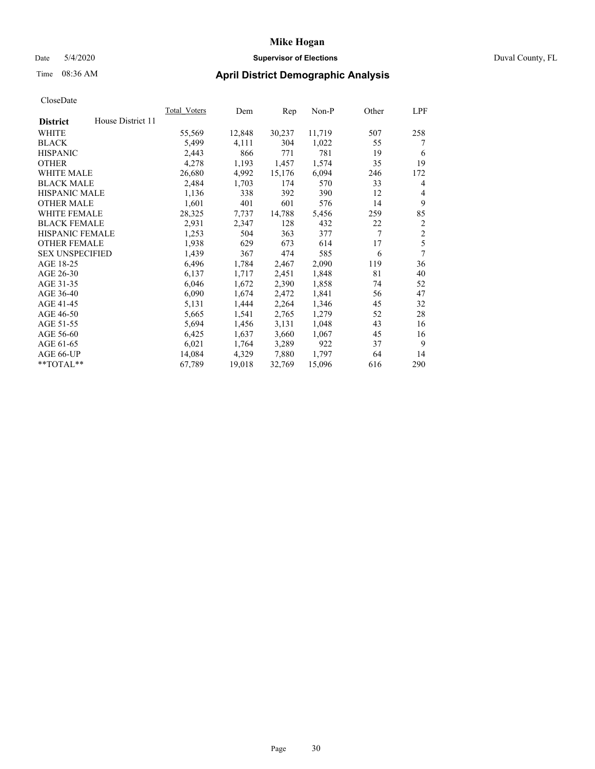# Date 5/4/2020 **Supervisor of Elections** Duval County, FL

# Time 08:36 AM **April District Demographic Analysis**

|                        |                   | Total Voters | Dem    | Rep    | Non-P  | Other | LPF            |
|------------------------|-------------------|--------------|--------|--------|--------|-------|----------------|
| <b>District</b>        | House District 11 |              |        |        |        |       |                |
| WHITE                  |                   | 55,569       | 12,848 | 30,237 | 11,719 | 507   | 258            |
| <b>BLACK</b>           |                   | 5,499        | 4,111  | 304    | 1,022  | 55    | 7              |
| <b>HISPANIC</b>        |                   | 2,443        | 866    | 771    | 781    | 19    | 6              |
| <b>OTHER</b>           |                   | 4,278        | 1,193  | 1,457  | 1,574  | 35    | 19             |
| WHITE MALE             |                   | 26,680       | 4,992  | 15,176 | 6,094  | 246   | 172            |
| <b>BLACK MALE</b>      |                   | 2,484        | 1,703  | 174    | 570    | 33    | 4              |
| <b>HISPANIC MALE</b>   |                   | 1,136        | 338    | 392    | 390    | 12    | 4              |
| <b>OTHER MALE</b>      |                   | 1,601        | 401    | 601    | 576    | 14    | 9              |
| <b>WHITE FEMALE</b>    |                   | 28,325       | 7.737  | 14,788 | 5,456  | 259   | 85             |
| <b>BLACK FEMALE</b>    |                   | 2,931        | 2,347  | 128    | 432    | 22    | $\overline{2}$ |
| <b>HISPANIC FEMALE</b> |                   | 1,253        | 504    | 363    | 377    | 7     | $\overline{2}$ |
| <b>OTHER FEMALE</b>    |                   | 1,938        | 629    | 673    | 614    | 17    | 5              |
| <b>SEX UNSPECIFIED</b> |                   | 1,439        | 367    | 474    | 585    | 6     | 7              |
| AGE 18-25              |                   | 6,496        | 1,784  | 2,467  | 2,090  | 119   | 36             |
| AGE 26-30              |                   | 6,137        | 1,717  | 2,451  | 1,848  | 81    | 40             |
| AGE 31-35              |                   | 6,046        | 1,672  | 2,390  | 1,858  | 74    | 52             |
| AGE 36-40              |                   | 6,090        | 1,674  | 2,472  | 1,841  | 56    | 47             |
| AGE 41-45              |                   | 5,131        | 1,444  | 2,264  | 1,346  | 45    | 32             |
| AGE 46-50              |                   | 5,665        | 1,541  | 2,765  | 1,279  | 52    | 28             |
| AGE 51-55              |                   | 5,694        | 1,456  | 3,131  | 1,048  | 43    | 16             |
| AGE 56-60              |                   | 6,425        | 1,637  | 3,660  | 1,067  | 45    | 16             |
| AGE 61-65              |                   | 6,021        | 1,764  | 3,289  | 922    | 37    | 9              |
| AGE 66-UP              |                   | 14,084       | 4,329  | 7,880  | 1,797  | 64    | 14             |
| **TOTAL**              |                   | 67,789       | 19,018 | 32,769 | 15,096 | 616   | 290            |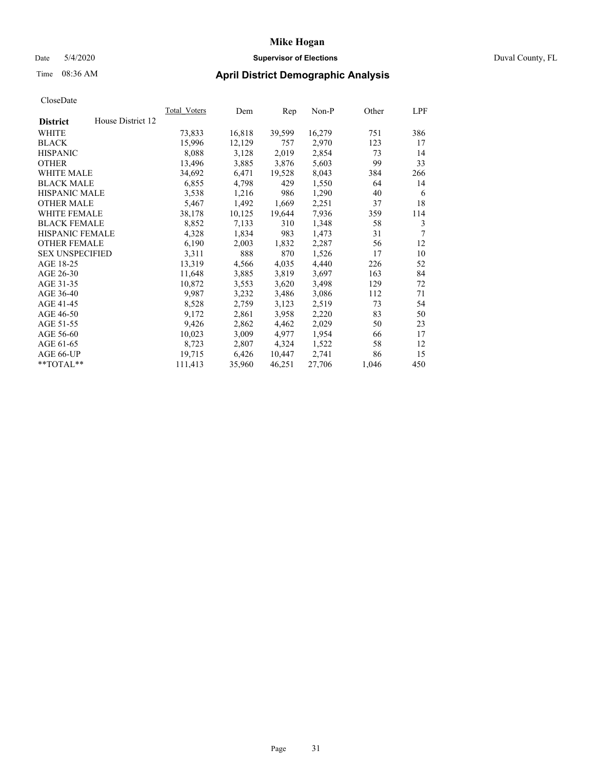# Date 5/4/2020 **Supervisor of Elections** Duval County, FL

# Time 08:36 AM **April District Demographic Analysis**

|                        |                   | Total Voters | Dem    | Rep    | Non-P  | Other | LPF |
|------------------------|-------------------|--------------|--------|--------|--------|-------|-----|
| <b>District</b>        | House District 12 |              |        |        |        |       |     |
| WHITE                  |                   | 73,833       | 16,818 | 39,599 | 16,279 | 751   | 386 |
| <b>BLACK</b>           |                   | 15,996       | 12,129 | 757    | 2,970  | 123   | 17  |
| <b>HISPANIC</b>        |                   | 8,088        | 3,128  | 2,019  | 2,854  | 73    | 14  |
| <b>OTHER</b>           |                   | 13,496       | 3,885  | 3,876  | 5,603  | 99    | 33  |
| WHITE MALE             |                   | 34,692       | 6,471  | 19,528 | 8,043  | 384   | 266 |
| <b>BLACK MALE</b>      |                   | 6,855        | 4,798  | 429    | 1,550  | 64    | 14  |
| <b>HISPANIC MALE</b>   |                   | 3,538        | 1,216  | 986    | 1,290  | 40    | 6   |
| <b>OTHER MALE</b>      |                   | 5,467        | 1,492  | 1,669  | 2,251  | 37    | 18  |
| WHITE FEMALE           |                   | 38,178       | 10,125 | 19,644 | 7.936  | 359   | 114 |
| <b>BLACK FEMALE</b>    |                   | 8,852        | 7,133  | 310    | 1,348  | 58    | 3   |
| <b>HISPANIC FEMALE</b> |                   | 4,328        | 1,834  | 983    | 1,473  | 31    | 7   |
| <b>OTHER FEMALE</b>    |                   | 6,190        | 2,003  | 1,832  | 2,287  | 56    | 12  |
| <b>SEX UNSPECIFIED</b> |                   | 3,311        | 888    | 870    | 1,526  | 17    | 10  |
| AGE 18-25              |                   | 13,319       | 4,566  | 4,035  | 4,440  | 226   | 52  |
| AGE 26-30              |                   | 11,648       | 3,885  | 3,819  | 3,697  | 163   | 84  |
| AGE 31-35              |                   | 10,872       | 3,553  | 3,620  | 3,498  | 129   | 72  |
| AGE 36-40              |                   | 9,987        | 3,232  | 3,486  | 3,086  | 112   | 71  |
| AGE 41-45              |                   | 8,528        | 2,759  | 3,123  | 2,519  | 73    | 54  |
| AGE 46-50              |                   | 9,172        | 2,861  | 3,958  | 2,220  | 83    | 50  |
| AGE 51-55              |                   | 9,426        | 2,862  | 4,462  | 2,029  | 50    | 23  |
| AGE 56-60              |                   | 10,023       | 3,009  | 4,977  | 1,954  | 66    | 17  |
| AGE 61-65              |                   | 8,723        | 2,807  | 4,324  | 1,522  | 58    | 12  |
| AGE 66-UP              |                   | 19,715       | 6,426  | 10,447 | 2,741  | 86    | 15  |
| $*$ TOTAL $*$          |                   | 111,413      | 35,960 | 46,251 | 27,706 | 1,046 | 450 |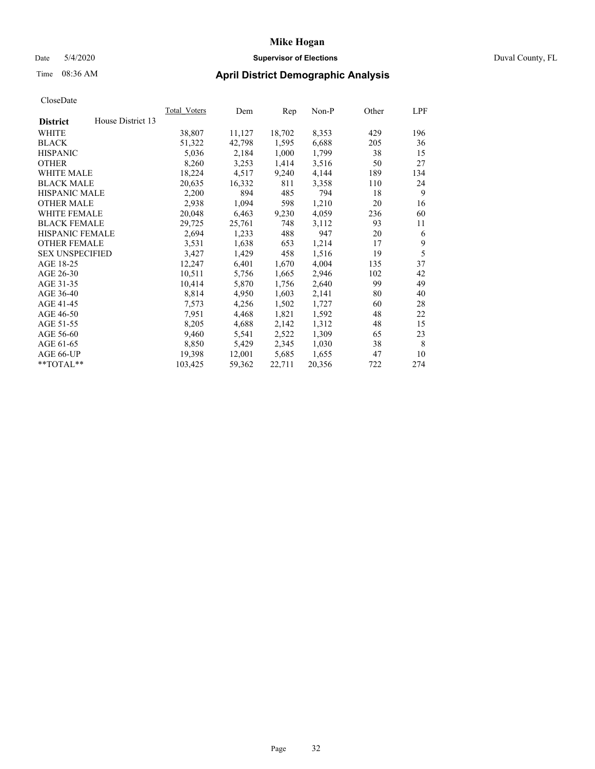# Date 5/4/2020 **Supervisor of Elections** Duval County, FL

# Time 08:36 AM **April District Demographic Analysis**

|                                      | Total Voters | Dem    | Rep    | Non-P  | Other | LPF |
|--------------------------------------|--------------|--------|--------|--------|-------|-----|
| House District 13<br><b>District</b> |              |        |        |        |       |     |
| WHITE                                | 38,807       | 11,127 | 18,702 | 8,353  | 429   | 196 |
| <b>BLACK</b>                         | 51,322       | 42,798 | 1,595  | 6,688  | 205   | 36  |
| <b>HISPANIC</b>                      | 5,036        | 2,184  | 1,000  | 1,799  | 38    | 15  |
| <b>OTHER</b>                         | 8,260        | 3,253  | 1,414  | 3,516  | 50    | 27  |
| <b>WHITE MALE</b>                    | 18,224       | 4,517  | 9,240  | 4,144  | 189   | 134 |
| <b>BLACK MALE</b>                    | 20,635       | 16,332 | 811    | 3,358  | 110   | 24  |
| <b>HISPANIC MALE</b>                 | 2,200        | 894    | 485    | 794    | 18    | 9   |
| <b>OTHER MALE</b>                    | 2,938        | 1,094  | 598    | 1,210  | 20    | 16  |
| WHITE FEMALE                         | 20,048       | 6,463  | 9,230  | 4,059  | 236   | 60  |
| <b>BLACK FEMALE</b>                  | 29,725       | 25,761 | 748    | 3,112  | 93    | 11  |
| <b>HISPANIC FEMALE</b>               | 2,694        | 1,233  | 488    | 947    | 20    | 6   |
| <b>OTHER FEMALE</b>                  | 3,531        | 1,638  | 653    | 1,214  | 17    | 9   |
| <b>SEX UNSPECIFIED</b>               | 3,427        | 1,429  | 458    | 1,516  | 19    | 5   |
| AGE 18-25                            | 12,247       | 6,401  | 1,670  | 4,004  | 135   | 37  |
| AGE 26-30                            | 10,511       | 5,756  | 1,665  | 2,946  | 102   | 42  |
| AGE 31-35                            | 10,414       | 5,870  | 1,756  | 2,640  | 99    | 49  |
| AGE 36-40                            | 8,814        | 4,950  | 1,603  | 2,141  | 80    | 40  |
| AGE 41-45                            | 7,573        | 4,256  | 1,502  | 1,727  | 60    | 28  |
| AGE 46-50                            | 7,951        | 4,468  | 1,821  | 1,592  | 48    | 22  |
| AGE 51-55                            | 8,205        | 4,688  | 2,142  | 1,312  | 48    | 15  |
| AGE 56-60                            | 9,460        | 5,541  | 2,522  | 1,309  | 65    | 23  |
| AGE 61-65                            | 8,850        | 5,429  | 2,345  | 1,030  | 38    | 8   |
| AGE 66-UP                            | 19,398       | 12,001 | 5,685  | 1,655  | 47    | 10  |
| **TOTAL**                            | 103,425      | 59,362 | 22,711 | 20,356 | 722   | 274 |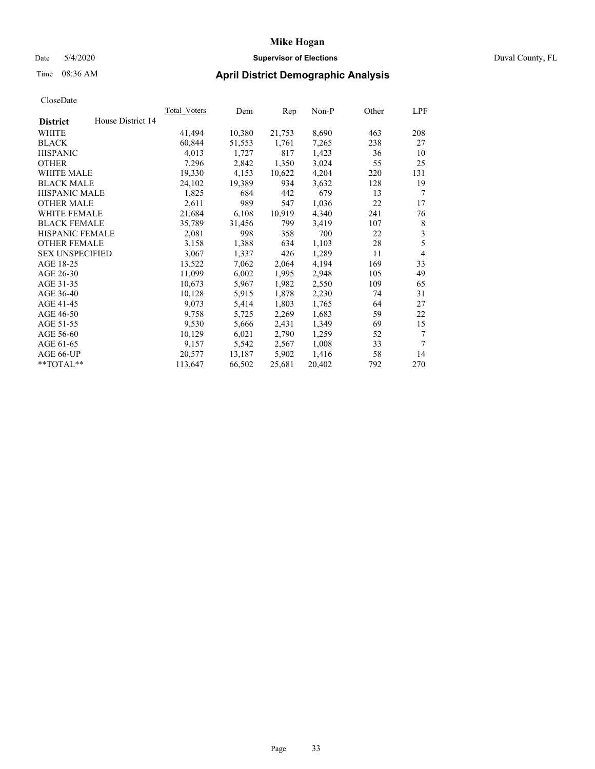# Date 5/4/2020 **Supervisor of Elections** Duval County, FL

# Time 08:36 AM **April District Demographic Analysis**

|                        |                   | Total Voters | Dem    | Rep    | Non-P  | Other | LPF            |
|------------------------|-------------------|--------------|--------|--------|--------|-------|----------------|
| <b>District</b>        | House District 14 |              |        |        |        |       |                |
| WHITE                  |                   | 41,494       | 10,380 | 21,753 | 8,690  | 463   | 208            |
| <b>BLACK</b>           |                   | 60,844       | 51,553 | 1,761  | 7.265  | 238   | 27             |
| <b>HISPANIC</b>        |                   | 4,013        | 1,727  | 817    | 1,423  | 36    | 10             |
| <b>OTHER</b>           |                   | 7,296        | 2,842  | 1,350  | 3,024  | 55    | 25             |
| WHITE MALE             |                   | 19,330       | 4,153  | 10,622 | 4,204  | 220   | 131            |
| <b>BLACK MALE</b>      |                   | 24,102       | 19,389 | 934    | 3,632  | 128   | 19             |
| HISPANIC MALE          |                   | 1,825        | 684    | 442    | 679    | 13    | 7              |
| <b>OTHER MALE</b>      |                   | 2,611        | 989    | 547    | 1,036  | 22    | 17             |
| <b>WHITE FEMALE</b>    |                   | 21,684       | 6,108  | 10,919 | 4,340  | 241   | 76             |
| <b>BLACK FEMALE</b>    |                   | 35,789       | 31,456 | 799    | 3,419  | 107   | 8              |
| HISPANIC FEMALE        |                   | 2,081        | 998    | 358    | 700    | 22    | 3              |
| <b>OTHER FEMALE</b>    |                   | 3,158        | 1,388  | 634    | 1,103  | 28    | 5              |
| <b>SEX UNSPECIFIED</b> |                   | 3,067        | 1,337  | 426    | 1,289  | 11    | $\overline{4}$ |
| AGE 18-25              |                   | 13,522       | 7,062  | 2,064  | 4,194  | 169   | 33             |
| AGE 26-30              |                   | 11,099       | 6,002  | 1,995  | 2,948  | 105   | 49             |
| AGE 31-35              |                   | 10,673       | 5,967  | 1,982  | 2,550  | 109   | 65             |
| AGE 36-40              |                   | 10,128       | 5,915  | 1,878  | 2,230  | 74    | 31             |
| AGE 41-45              |                   | 9,073        | 5,414  | 1,803  | 1,765  | 64    | 27             |
| AGE 46-50              |                   | 9,758        | 5,725  | 2,269  | 1,683  | 59    | 22             |
| AGE 51-55              |                   | 9,530        | 5,666  | 2,431  | 1,349  | 69    | 15             |
| AGE 56-60              |                   | 10,129       | 6,021  | 2,790  | 1,259  | 52    | 7              |
| AGE 61-65              |                   | 9,157        | 5,542  | 2,567  | 1,008  | 33    | 7              |
| AGE 66-UP              |                   | 20,577       | 13,187 | 5,902  | 1,416  | 58    | 14             |
| **TOTAL**              |                   | 113,647      | 66,502 | 25,681 | 20,402 | 792   | 270            |
|                        |                   |              |        |        |        |       |                |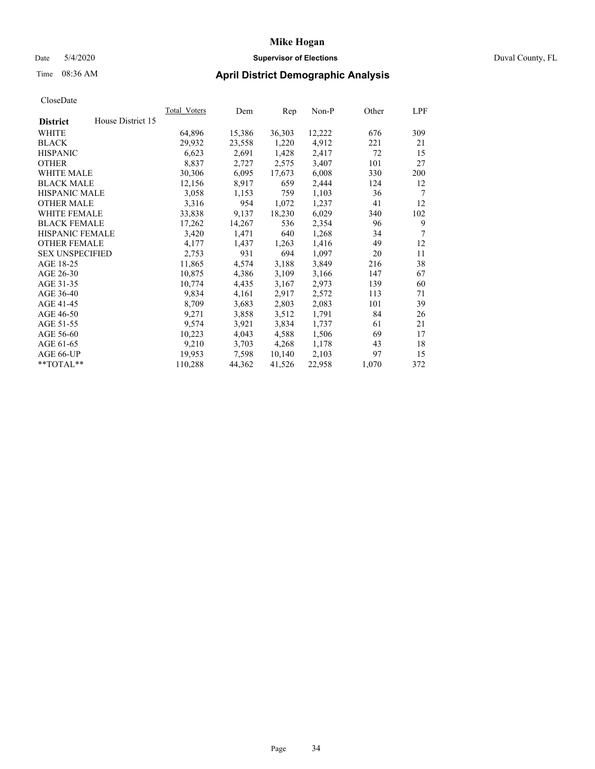# Date 5/4/2020 **Supervisor of Elections** Duval County, FL

# Time 08:36 AM **April District Demographic Analysis**

|                                      | Total Voters | Dem    | Rep    | Non-P  | Other | LPF |
|--------------------------------------|--------------|--------|--------|--------|-------|-----|
| House District 15<br><b>District</b> |              |        |        |        |       |     |
| <b>WHITE</b>                         | 64,896       | 15,386 | 36,303 | 12,222 | 676   | 309 |
| <b>BLACK</b>                         | 29,932       | 23,558 | 1,220  | 4,912  | 221   | 21  |
| <b>HISPANIC</b>                      | 6,623        | 2,691  | 1,428  | 2,417  | 72    | 15  |
| <b>OTHER</b>                         | 8,837        | 2,727  | 2,575  | 3,407  | 101   | 27  |
| WHITE MALE                           | 30,306       | 6,095  | 17,673 | 6,008  | 330   | 200 |
| <b>BLACK MALE</b>                    | 12,156       | 8,917  | 659    | 2,444  | 124   | 12  |
| <b>HISPANIC MALE</b>                 | 3,058        | 1,153  | 759    | 1,103  | 36    | 7   |
| <b>OTHER MALE</b>                    | 3,316        | 954    | 1,072  | 1,237  | 41    | 12  |
| <b>WHITE FEMALE</b>                  | 33,838       | 9,137  | 18,230 | 6,029  | 340   | 102 |
| <b>BLACK FEMALE</b>                  | 17,262       | 14,267 | 536    | 2,354  | 96    | 9   |
| <b>HISPANIC FEMALE</b>               | 3,420        | 1,471  | 640    | 1,268  | 34    | 7   |
| <b>OTHER FEMALE</b>                  | 4,177        | 1,437  | 1,263  | 1,416  | 49    | 12  |
| <b>SEX UNSPECIFIED</b>               | 2,753        | 931    | 694    | 1,097  | 20    | 11  |
| AGE 18-25                            | 11,865       | 4,574  | 3,188  | 3,849  | 216   | 38  |
| AGE 26-30                            | 10,875       | 4,386  | 3,109  | 3,166  | 147   | 67  |
| AGE 31-35                            | 10,774       | 4,435  | 3,167  | 2,973  | 139   | 60  |
| AGE 36-40                            | 9,834        | 4,161  | 2,917  | 2,572  | 113   | 71  |
| AGE 41-45                            | 8,709        | 3,683  | 2,803  | 2,083  | 101   | 39  |
| AGE 46-50                            | 9,271        | 3,858  | 3,512  | 1,791  | 84    | 26  |
| AGE 51-55                            | 9,574        | 3,921  | 3,834  | 1,737  | 61    | 21  |
| AGE 56-60                            | 10,223       | 4,043  | 4,588  | 1,506  | 69    | 17  |
| AGE 61-65                            | 9,210        | 3,703  | 4,268  | 1,178  | 43    | 18  |
| AGE 66-UP                            | 19,953       | 7.598  | 10,140 | 2,103  | 97    | 15  |
| $*$ $TOTAL**$                        | 110,288      | 44,362 | 41,526 | 22,958 | 1,070 | 372 |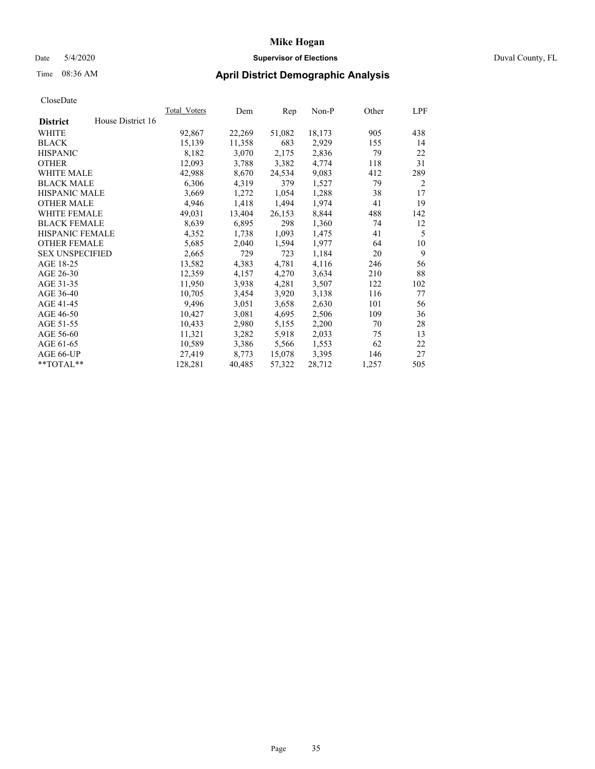# Date 5/4/2020 **Supervisor of Elections** Duval County, FL

# Time 08:36 AM **April District Demographic Analysis**

|                        |                   | Total Voters | Dem    | Rep    | Non-P  | Other | LPF |
|------------------------|-------------------|--------------|--------|--------|--------|-------|-----|
| <b>District</b>        | House District 16 |              |        |        |        |       |     |
| WHITE                  |                   | 92,867       | 22,269 | 51,082 | 18,173 | 905   | 438 |
| <b>BLACK</b>           |                   | 15,139       | 11,358 | 683    | 2,929  | 155   | 14  |
| <b>HISPANIC</b>        |                   | 8,182        | 3,070  | 2,175  | 2,836  | 79    | 22  |
| <b>OTHER</b>           |                   | 12,093       | 3,788  | 3,382  | 4,774  | 118   | 31  |
| WHITE MALE             |                   | 42,988       | 8,670  | 24,534 | 9,083  | 412   | 289 |
| <b>BLACK MALE</b>      |                   | 6,306        | 4,319  | 379    | 1,527  | 79    | 2   |
| <b>HISPANIC MALE</b>   |                   | 3,669        | 1,272  | 1,054  | 1,288  | 38    | 17  |
| <b>OTHER MALE</b>      |                   | 4,946        | 1,418  | 1,494  | 1,974  | 41    | 19  |
| WHITE FEMALE           |                   | 49,031       | 13,404 | 26,153 | 8,844  | 488   | 142 |
| <b>BLACK FEMALE</b>    |                   | 8,639        | 6,895  | 298    | 1,360  | 74    | 12  |
| <b>HISPANIC FEMALE</b> |                   | 4,352        | 1,738  | 1,093  | 1,475  | 41    | 5   |
| <b>OTHER FEMALE</b>    |                   | 5,685        | 2,040  | 1,594  | 1,977  | 64    | 10  |
| <b>SEX UNSPECIFIED</b> |                   | 2,665        | 729    | 723    | 1,184  | 20    | 9   |
| AGE 18-25              |                   | 13,582       | 4,383  | 4,781  | 4,116  | 246   | 56  |
| AGE 26-30              |                   | 12,359       | 4,157  | 4,270  | 3,634  | 210   | 88  |
| AGE 31-35              |                   | 11,950       | 3,938  | 4,281  | 3,507  | 122   | 102 |
| AGE 36-40              |                   | 10,705       | 3,454  | 3,920  | 3,138  | 116   | 77  |
| AGE 41-45              |                   | 9,496        | 3,051  | 3,658  | 2,630  | 101   | 56  |
| AGE 46-50              |                   | 10,427       | 3,081  | 4,695  | 2,506  | 109   | 36  |
| AGE 51-55              |                   | 10,433       | 2,980  | 5,155  | 2,200  | 70    | 28  |
| AGE 56-60              |                   | 11,321       | 3,282  | 5,918  | 2,033  | 75    | 13  |
| AGE 61-65              |                   | 10,589       | 3,386  | 5,566  | 1,553  | 62    | 22  |
| AGE 66-UP              |                   | 27,419       | 8,773  | 15,078 | 3,395  | 146   | 27  |
| $*$ TOTAL $*$          |                   | 128,281      | 40,485 | 57,322 | 28,712 | 1,257 | 505 |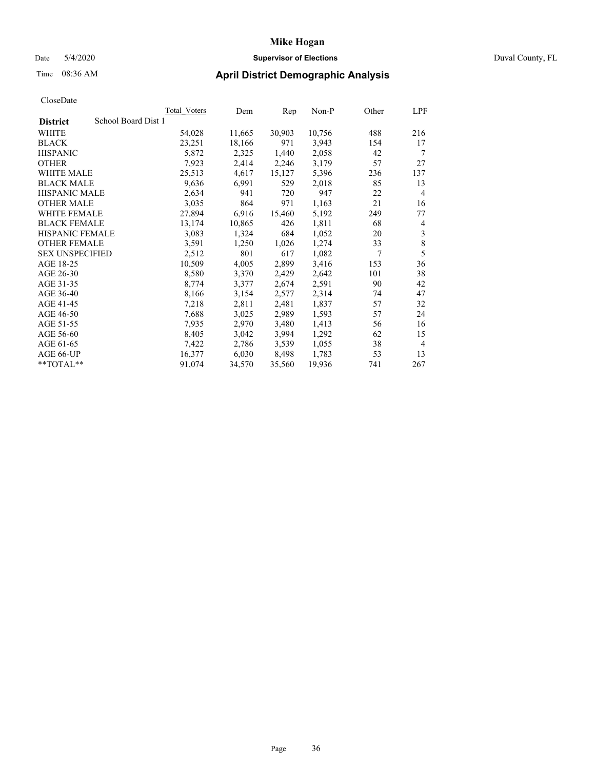# Date 5/4/2020 **Supervisor of Elections** Duval County, FL

# Time 08:36 AM **April District Demographic Analysis**

|                                        | Total Voters | Dem    | Rep    | Non-P  | Other | LPF |
|----------------------------------------|--------------|--------|--------|--------|-------|-----|
| School Board Dist 1<br><b>District</b> |              |        |        |        |       |     |
| WHITE                                  | 54,028       | 11,665 | 30,903 | 10,756 | 488   | 216 |
| <b>BLACK</b>                           | 23,251       | 18,166 | 971    | 3,943  | 154   | 17  |
| <b>HISPANIC</b>                        | 5,872        | 2,325  | 1,440  | 2,058  | 42    | 7   |
| <b>OTHER</b>                           | 7,923        | 2,414  | 2,246  | 3,179  | 57    | 27  |
| WHITE MALE                             | 25,513       | 4,617  | 15,127 | 5,396  | 236   | 137 |
| <b>BLACK MALE</b>                      | 9,636        | 6,991  | 529    | 2,018  | 85    | 13  |
| <b>HISPANIC MALE</b>                   | 2,634        | 941    | 720    | 947    | 22    | 4   |
| <b>OTHER MALE</b>                      | 3,035        | 864    | 971    | 1,163  | 21    | 16  |
| <b>WHITE FEMALE</b>                    | 27,894       | 6,916  | 15,460 | 5,192  | 249   | 77  |
| <b>BLACK FEMALE</b>                    | 13,174       | 10,865 | 426    | 1,811  | 68    | 4   |
| HISPANIC FEMALE                        | 3,083        | 1,324  | 684    | 1,052  | 20    | 3   |
| <b>OTHER FEMALE</b>                    | 3,591        | 1,250  | 1,026  | 1,274  | 33    | 8   |
| <b>SEX UNSPECIFIED</b>                 | 2,512        | 801    | 617    | 1,082  | 7     | 5   |
| AGE 18-25                              | 10,509       | 4,005  | 2,899  | 3,416  | 153   | 36  |
| AGE 26-30                              | 8,580        | 3,370  | 2,429  | 2,642  | 101   | 38  |
| AGE 31-35                              | 8,774        | 3,377  | 2,674  | 2,591  | 90    | 42  |
| AGE 36-40                              | 8,166        | 3,154  | 2,577  | 2,314  | 74    | 47  |
| AGE 41-45                              | 7,218        | 2,811  | 2,481  | 1,837  | 57    | 32  |
| AGE 46-50                              | 7,688        | 3,025  | 2,989  | 1,593  | 57    | 24  |
| AGE 51-55                              | 7.935        | 2,970  | 3,480  | 1,413  | 56    | 16  |
| AGE 56-60                              | 8,405        | 3,042  | 3,994  | 1,292  | 62    | 15  |
| AGE 61-65                              | 7,422        | 2,786  | 3,539  | 1,055  | 38    | 4   |
| AGE 66-UP                              | 16,377       | 6,030  | 8,498  | 1,783  | 53    | 13  |
| **TOTAL**                              | 91,074       | 34,570 | 35,560 | 19,936 | 741   | 267 |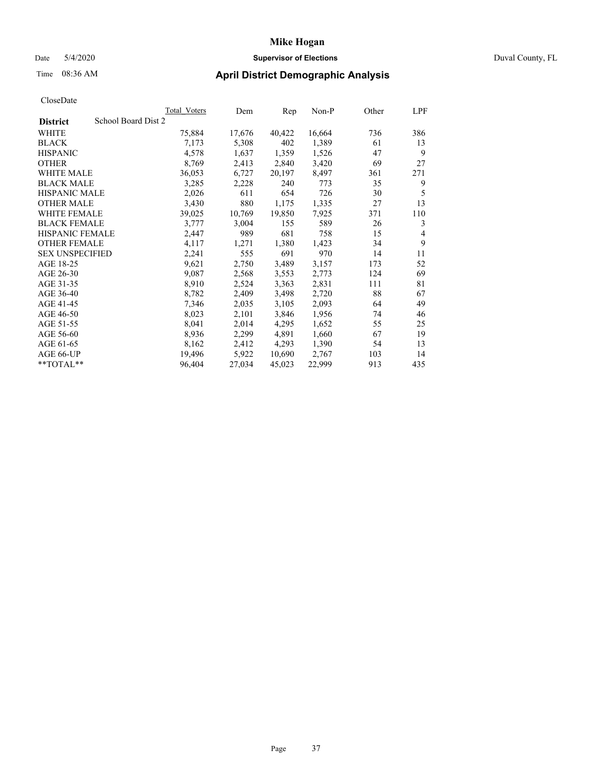# Date 5/4/2020 **Supervisor of Elections** Duval County, FL

# Time 08:36 AM **April District Demographic Analysis**

|                                        | Total Voters | Dem    | Rep    | Non-P  | Other | LPF            |
|----------------------------------------|--------------|--------|--------|--------|-------|----------------|
| School Board Dist 2<br><b>District</b> |              |        |        |        |       |                |
| WHITE                                  | 75,884       | 17,676 | 40,422 | 16,664 | 736   | 386            |
| <b>BLACK</b>                           | 7,173        | 5,308  | 402    | 1,389  | 61    | 13             |
| <b>HISPANIC</b>                        | 4,578        | 1,637  | 1,359  | 1,526  | 47    | 9              |
| <b>OTHER</b>                           | 8,769        | 2,413  | 2,840  | 3,420  | 69    | 27             |
| WHITE MALE                             | 36,053       | 6,727  | 20,197 | 8,497  | 361   | 271            |
| <b>BLACK MALE</b>                      | 3,285        | 2,228  | 240    | 773    | 35    | 9              |
| <b>HISPANIC MALE</b>                   | 2,026        | 611    | 654    | 726    | 30    | 5              |
| <b>OTHER MALE</b>                      | 3,430        | 880    | 1,175  | 1,335  | 27    | 13             |
| WHITE FEMALE                           | 39,025       | 10,769 | 19,850 | 7,925  | 371   | 110            |
| <b>BLACK FEMALE</b>                    | 3,777        | 3,004  | 155    | 589    | 26    | 3              |
| <b>HISPANIC FEMALE</b>                 | 2,447        | 989    | 681    | 758    | 15    | $\overline{4}$ |
| <b>OTHER FEMALE</b>                    | 4,117        | 1,271  | 1,380  | 1,423  | 34    | 9              |
| <b>SEX UNSPECIFIED</b>                 | 2,241        | 555    | 691    | 970    | 14    | 11             |
| AGE 18-25                              | 9,621        | 2,750  | 3,489  | 3,157  | 173   | 52             |
| AGE 26-30                              | 9,087        | 2,568  | 3,553  | 2,773  | 124   | 69             |
| AGE 31-35                              | 8,910        | 2,524  | 3,363  | 2,831  | 111   | 81             |
| AGE 36-40                              | 8,782        | 2,409  | 3,498  | 2,720  | 88    | 67             |
| AGE 41-45                              | 7.346        | 2,035  | 3,105  | 2,093  | 64    | 49             |
| AGE 46-50                              | 8,023        | 2,101  | 3,846  | 1,956  | 74    | 46             |
| AGE 51-55                              | 8,041        | 2,014  | 4,295  | 1,652  | 55    | 25             |
| AGE 56-60                              | 8,936        | 2,299  | 4,891  | 1,660  | 67    | 19             |
| AGE 61-65                              | 8,162        | 2,412  | 4,293  | 1,390  | 54    | 13             |
| AGE 66-UP                              | 19,496       | 5,922  | 10,690 | 2,767  | 103   | 14             |
| $*$ TOTAL $*$                          | 96,404       | 27,034 | 45,023 | 22,999 | 913   | 435            |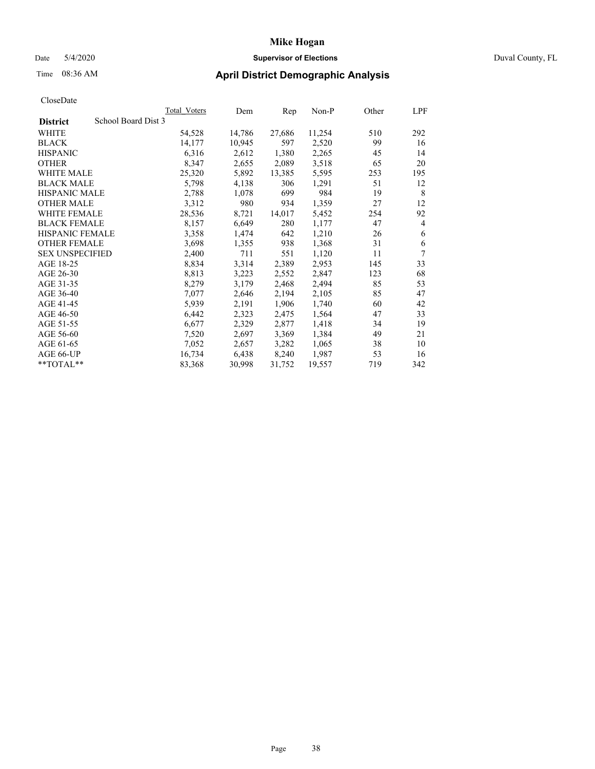# Date 5/4/2020 **Supervisor of Elections** Duval County, FL

# Time 08:36 AM **April District Demographic Analysis**

|                                        | Total Voters | Dem    | Rep    | Non-P  | Other | LPF |
|----------------------------------------|--------------|--------|--------|--------|-------|-----|
| School Board Dist 3<br><b>District</b> |              |        |        |        |       |     |
| <b>WHITE</b>                           | 54,528       | 14,786 | 27,686 | 11,254 | 510   | 292 |
| <b>BLACK</b>                           | 14,177       | 10,945 | 597    | 2,520  | 99    | 16  |
| <b>HISPANIC</b>                        | 6,316        | 2,612  | 1,380  | 2,265  | 45    | 14  |
| <b>OTHER</b>                           | 8,347        | 2,655  | 2,089  | 3,518  | 65    | 20  |
| WHITE MALE                             | 25,320       | 5,892  | 13,385 | 5,595  | 253   | 195 |
| <b>BLACK MALE</b>                      | 5,798        | 4,138  | 306    | 1,291  | 51    | 12  |
| <b>HISPANIC MALE</b>                   | 2,788        | 1,078  | 699    | 984    | 19    | 8   |
| <b>OTHER MALE</b>                      | 3,312        | 980    | 934    | 1,359  | 27    | 12  |
| <b>WHITE FEMALE</b>                    | 28,536       | 8,721  | 14,017 | 5,452  | 254   | 92  |
| <b>BLACK FEMALE</b>                    | 8,157        | 6,649  | 280    | 1,177  | 47    | 4   |
| <b>HISPANIC FEMALE</b>                 | 3,358        | 1,474  | 642    | 1,210  | 26    | 6   |
| <b>OTHER FEMALE</b>                    | 3,698        | 1,355  | 938    | 1,368  | 31    | 6   |
| <b>SEX UNSPECIFIED</b>                 | 2,400        | 711    | 551    | 1,120  | 11    | 7   |
| AGE 18-25                              | 8,834        | 3,314  | 2,389  | 2,953  | 145   | 33  |
| AGE 26-30                              | 8,813        | 3,223  | 2,552  | 2,847  | 123   | 68  |
| AGE 31-35                              | 8,279        | 3,179  | 2,468  | 2,494  | 85    | 53  |
| AGE 36-40                              | 7,077        | 2,646  | 2,194  | 2,105  | 85    | 47  |
| AGE 41-45                              | 5,939        | 2,191  | 1,906  | 1,740  | 60    | 42  |
| AGE 46-50                              | 6,442        | 2,323  | 2,475  | 1,564  | 47    | 33  |
| AGE 51-55                              | 6,677        | 2,329  | 2,877  | 1,418  | 34    | 19  |
| AGE 56-60                              | 7,520        | 2,697  | 3,369  | 1,384  | 49    | 21  |
| AGE 61-65                              | 7,052        | 2,657  | 3,282  | 1,065  | 38    | 10  |
| AGE 66-UP                              | 16,734       | 6,438  | 8,240  | 1,987  | 53    | 16  |
| $*$ $TOTAL**$                          | 83,368       | 30,998 | 31,752 | 19,557 | 719   | 342 |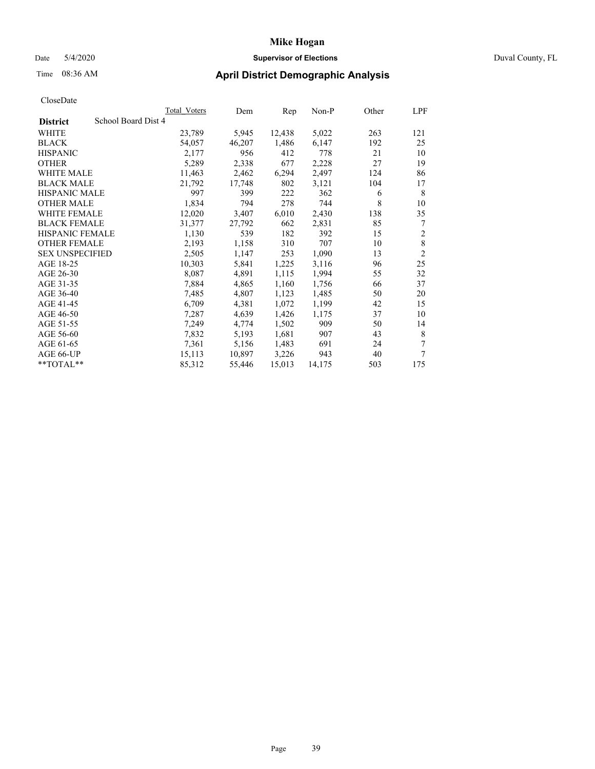# Date 5/4/2020 **Supervisor of Elections** Duval County, FL

# Time 08:36 AM **April District Demographic Analysis**

|                                        | Total Voters | Dem    | Rep    | Non-P  | Other | LPF            |
|----------------------------------------|--------------|--------|--------|--------|-------|----------------|
| School Board Dist 4<br><b>District</b> |              |        |        |        |       |                |
| WHITE                                  | 23,789       | 5,945  | 12,438 | 5,022  | 263   | 121            |
| <b>BLACK</b>                           | 54,057       | 46,207 | 1,486  | 6,147  | 192   | 25             |
| <b>HISPANIC</b>                        | 2,177        | 956    | 412    | 778    | 21    | 10             |
| <b>OTHER</b>                           | 5,289        | 2,338  | 677    | 2,228  | 27    | 19             |
| <b>WHITE MALE</b>                      | 11,463       | 2,462  | 6,294  | 2,497  | 124   | 86             |
| <b>BLACK MALE</b>                      | 21,792       | 17,748 | 802    | 3,121  | 104   | 17             |
| HISPANIC MALE                          | 997          | 399    | 222    | 362    | 6     | 8              |
| <b>OTHER MALE</b>                      | 1,834        | 794    | 278    | 744    | 8     | 10             |
| <b>WHITE FEMALE</b>                    | 12,020       | 3,407  | 6,010  | 2,430  | 138   | 35             |
| <b>BLACK FEMALE</b>                    | 31,377       | 27,792 | 662    | 2,831  | 85    | 7              |
| <b>HISPANIC FEMALE</b>                 | 1,130        | 539    | 182    | 392    | 15    | $\overline{2}$ |
| <b>OTHER FEMALE</b>                    | 2,193        | 1,158  | 310    | 707    | 10    | $\,8\,$        |
| <b>SEX UNSPECIFIED</b>                 | 2,505        | 1,147  | 253    | 1,090  | 13    | $\overline{c}$ |
| AGE 18-25                              | 10,303       | 5,841  | 1,225  | 3,116  | 96    | 25             |
| AGE 26-30                              | 8,087        | 4,891  | 1,115  | 1,994  | 55    | 32             |
| AGE 31-35                              | 7,884        | 4,865  | 1,160  | 1,756  | 66    | 37             |
| AGE 36-40                              | 7,485        | 4,807  | 1,123  | 1,485  | 50    | 20             |
| AGE 41-45                              | 6,709        | 4,381  | 1,072  | 1,199  | 42    | 15             |
| AGE 46-50                              | 7,287        | 4,639  | 1,426  | 1,175  | 37    | 10             |
| AGE 51-55                              | 7,249        | 4,774  | 1,502  | 909    | 50    | 14             |
| AGE 56-60                              | 7,832        | 5,193  | 1,681  | 907    | 43    | 8              |
| AGE 61-65                              | 7,361        | 5,156  | 1,483  | 691    | 24    | 7              |
| AGE 66-UP                              | 15,113       | 10,897 | 3,226  | 943    | 40    | 7              |
| **TOTAL**                              | 85,312       | 55,446 | 15,013 | 14,175 | 503   | 175            |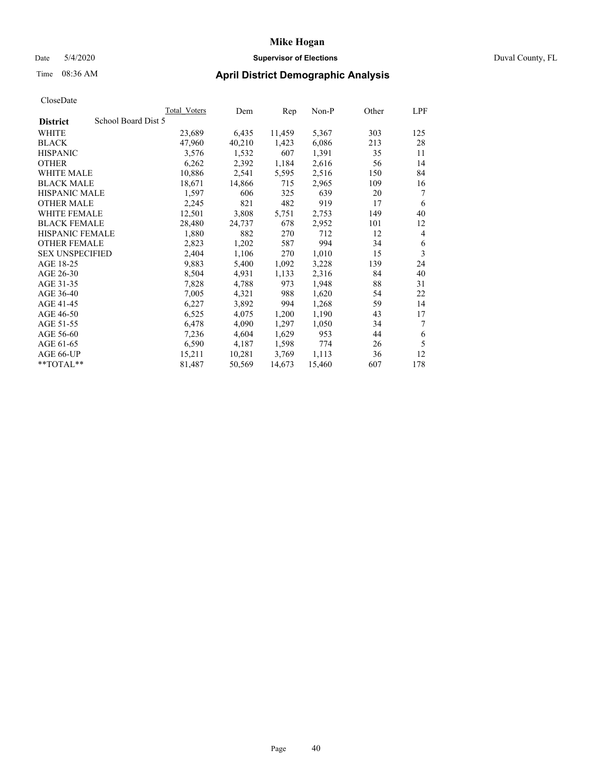# Date 5/4/2020 **Supervisor of Elections** Duval County, FL

# Time 08:36 AM **April District Demographic Analysis**

|                                        | Total Voters | Dem    | Rep    | Non-P  | Other | LPF |
|----------------------------------------|--------------|--------|--------|--------|-------|-----|
| School Board Dist 5<br><b>District</b> |              |        |        |        |       |     |
| WHITE                                  | 23,689       | 6,435  | 11,459 | 5,367  | 303   | 125 |
| <b>BLACK</b>                           | 47,960       | 40,210 | 1,423  | 6,086  | 213   | 28  |
| <b>HISPANIC</b>                        | 3,576        | 1,532  | 607    | 1,391  | 35    | 11  |
| <b>OTHER</b>                           | 6,262        | 2,392  | 1,184  | 2,616  | 56    | 14  |
| WHITE MALE                             | 10,886       | 2,541  | 5,595  | 2,516  | 150   | 84  |
| <b>BLACK MALE</b>                      | 18,671       | 14,866 | 715    | 2,965  | 109   | 16  |
| <b>HISPANIC MALE</b>                   | 1,597        | 606    | 325    | 639    | 20    | 7   |
| <b>OTHER MALE</b>                      | 2,245        | 821    | 482    | 919    | 17    | 6   |
| <b>WHITE FEMALE</b>                    | 12,501       | 3,808  | 5,751  | 2,753  | 149   | 40  |
| <b>BLACK FEMALE</b>                    | 28,480       | 24,737 | 678    | 2,952  | 101   | 12  |
| HISPANIC FEMALE                        | 1,880        | 882    | 270    | 712    | 12    | 4   |
| <b>OTHER FEMALE</b>                    | 2,823        | 1,202  | 587    | 994    | 34    | 6   |
| <b>SEX UNSPECIFIED</b>                 | 2,404        | 1,106  | 270    | 1,010  | 15    | 3   |
| AGE 18-25                              | 9,883        | 5,400  | 1,092  | 3,228  | 139   | 24  |
| AGE 26-30                              | 8,504        | 4,931  | 1,133  | 2,316  | 84    | 40  |
| AGE 31-35                              | 7,828        | 4,788  | 973    | 1,948  | 88    | 31  |
| AGE 36-40                              | 7,005        | 4,321  | 988    | 1,620  | 54    | 22  |
| AGE 41-45                              | 6,227        | 3,892  | 994    | 1,268  | 59    | 14  |
| AGE 46-50                              | 6,525        | 4,075  | 1,200  | 1,190  | 43    | 17  |
| AGE 51-55                              | 6,478        | 4,090  | 1,297  | 1,050  | 34    | 7   |
| AGE 56-60                              | 7,236        | 4,604  | 1,629  | 953    | 44    | 6   |
| AGE 61-65                              | 6,590        | 4,187  | 1,598  | 774    | 26    | 5   |
| AGE 66-UP                              | 15,211       | 10,281 | 3,769  | 1,113  | 36    | 12  |
| $*$ $TOTAL**$                          | 81,487       | 50,569 | 14,673 | 15,460 | 607   | 178 |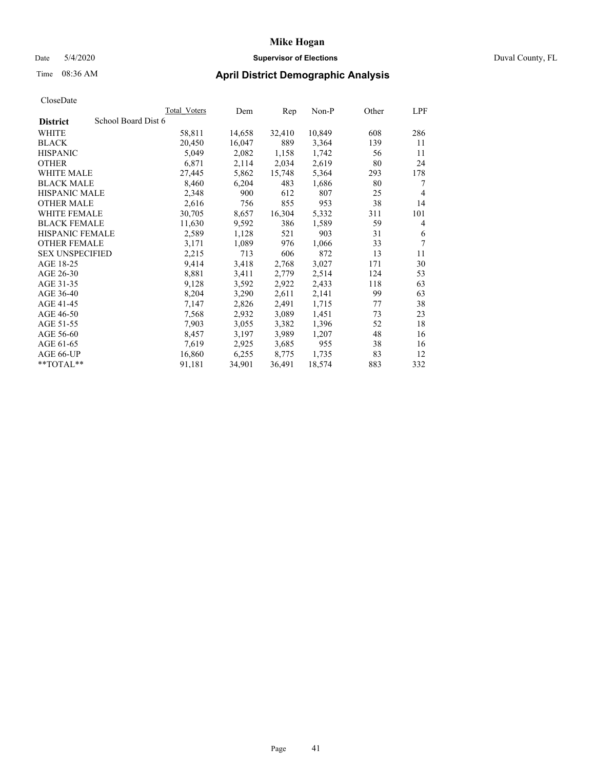# Date 5/4/2020 **Supervisor of Elections** Duval County, FL

# Time 08:36 AM **April District Demographic Analysis**

|                                        | Total Voters | Dem    | Rep    | Non-P  | Other | LPF            |
|----------------------------------------|--------------|--------|--------|--------|-------|----------------|
| School Board Dist 6<br><b>District</b> |              |        |        |        |       |                |
| <b>WHITE</b>                           | 58,811       | 14,658 | 32,410 | 10,849 | 608   | 286            |
| <b>BLACK</b>                           | 20,450       | 16,047 | 889    | 3,364  | 139   | 11             |
| <b>HISPANIC</b>                        | 5,049        | 2,082  | 1,158  | 1,742  | 56    | 11             |
| <b>OTHER</b>                           | 6,871        | 2,114  | 2,034  | 2,619  | 80    | 24             |
| WHITE MALE                             | 27,445       | 5,862  | 15,748 | 5,364  | 293   | 178            |
| <b>BLACK MALE</b>                      | 8,460        | 6,204  | 483    | 1,686  | 80    | 7              |
| <b>HISPANIC MALE</b>                   | 2,348        | 900    | 612    | 807    | 25    | $\overline{4}$ |
| <b>OTHER MALE</b>                      | 2,616        | 756    | 855    | 953    | 38    | 14             |
| <b>WHITE FEMALE</b>                    | 30,705       | 8,657  | 16,304 | 5,332  | 311   | 101            |
| <b>BLACK FEMALE</b>                    | 11,630       | 9,592  | 386    | 1,589  | 59    | 4              |
| <b>HISPANIC FEMALE</b>                 | 2,589        | 1,128  | 521    | 903    | 31    | 6              |
| <b>OTHER FEMALE</b>                    | 3,171        | 1,089  | 976    | 1,066  | 33    | 7              |
| <b>SEX UNSPECIFIED</b>                 | 2,215        | 713    | 606    | 872    | 13    | 11             |
| AGE 18-25                              | 9,414        | 3,418  | 2,768  | 3,027  | 171   | 30             |
| AGE 26-30                              | 8,881        | 3,411  | 2,779  | 2,514  | 124   | 53             |
| AGE 31-35                              | 9,128        | 3,592  | 2,922  | 2,433  | 118   | 63             |
| AGE 36-40                              | 8,204        | 3,290  | 2,611  | 2,141  | 99    | 63             |
| AGE 41-45                              | 7,147        | 2,826  | 2,491  | 1,715  | 77    | 38             |
| AGE 46-50                              | 7,568        | 2,932  | 3,089  | 1,451  | 73    | 23             |
| AGE 51-55                              | 7,903        | 3,055  | 3,382  | 1,396  | 52    | 18             |
| AGE 56-60                              | 8,457        | 3,197  | 3,989  | 1,207  | 48    | 16             |
| AGE 61-65                              | 7,619        | 2,925  | 3,685  | 955    | 38    | 16             |
| AGE 66-UP                              | 16,860       | 6,255  | 8,775  | 1,735  | 83    | 12             |
| $*$ $TOTAL**$                          | 91,181       | 34,901 | 36,491 | 18,574 | 883   | 332            |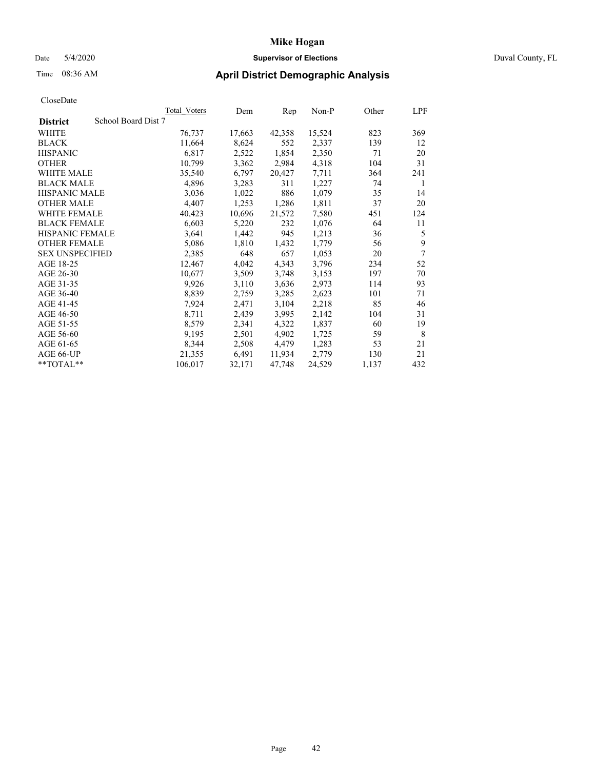# Date 5/4/2020 **Supervisor of Elections** Duval County, FL

# Time 08:36 AM **April District Demographic Analysis**

|                                        | <b>Total Voters</b> | Dem    | Rep    | Non-P  | Other | LPF |
|----------------------------------------|---------------------|--------|--------|--------|-------|-----|
| School Board Dist 7<br><b>District</b> |                     |        |        |        |       |     |
| WHITE                                  | 76,737              | 17,663 | 42,358 | 15,524 | 823   | 369 |
| <b>BLACK</b>                           | 11,664              | 8,624  | 552    | 2,337  | 139   | 12  |
| <b>HISPANIC</b>                        | 6,817               | 2,522  | 1,854  | 2,350  | 71    | 20  |
| <b>OTHER</b>                           | 10,799              | 3,362  | 2,984  | 4,318  | 104   | 31  |
| WHITE MALE                             | 35,540              | 6,797  | 20,427 | 7,711  | 364   | 241 |
| <b>BLACK MALE</b>                      | 4,896               | 3,283  | 311    | 1,227  | 74    | 1   |
| <b>HISPANIC MALE</b>                   | 3,036               | 1,022  | 886    | 1,079  | 35    | 14  |
| <b>OTHER MALE</b>                      | 4,407               | 1,253  | 1,286  | 1,811  | 37    | 20  |
| WHITE FEMALE                           | 40,423              | 10,696 | 21,572 | 7,580  | 451   | 124 |
| <b>BLACK FEMALE</b>                    | 6,603               | 5,220  | 232    | 1,076  | 64    | 11  |
| HISPANIC FEMALE                        | 3,641               | 1,442  | 945    | 1,213  | 36    | 5   |
| <b>OTHER FEMALE</b>                    | 5,086               | 1,810  | 1,432  | 1,779  | 56    | 9   |
| <b>SEX UNSPECIFIED</b>                 | 2,385               | 648    | 657    | 1,053  | 20    | 7   |
| AGE 18-25                              | 12,467              | 4,042  | 4,343  | 3,796  | 234   | 52  |
| AGE 26-30                              | 10,677              | 3,509  | 3,748  | 3,153  | 197   | 70  |
| AGE 31-35                              | 9,926               | 3,110  | 3,636  | 2,973  | 114   | 93  |
| AGE 36-40                              | 8,839               | 2,759  | 3,285  | 2,623  | 101   | 71  |
| AGE 41-45                              | 7,924               | 2,471  | 3,104  | 2,218  | 85    | 46  |
| AGE 46-50                              | 8,711               | 2,439  | 3,995  | 2,142  | 104   | 31  |
| AGE 51-55                              | 8,579               | 2,341  | 4,322  | 1,837  | 60    | 19  |
| AGE 56-60                              | 9,195               | 2,501  | 4,902  | 1,725  | 59    | 8   |
| AGE 61-65                              | 8,344               | 2,508  | 4,479  | 1,283  | 53    | 21  |
| AGE 66-UP                              | 21,355              | 6,491  | 11,934 | 2,779  | 130   | 21  |
| $*$ $TOTAL**$                          | 106,017             | 32,171 | 47,748 | 24,529 | 1,137 | 432 |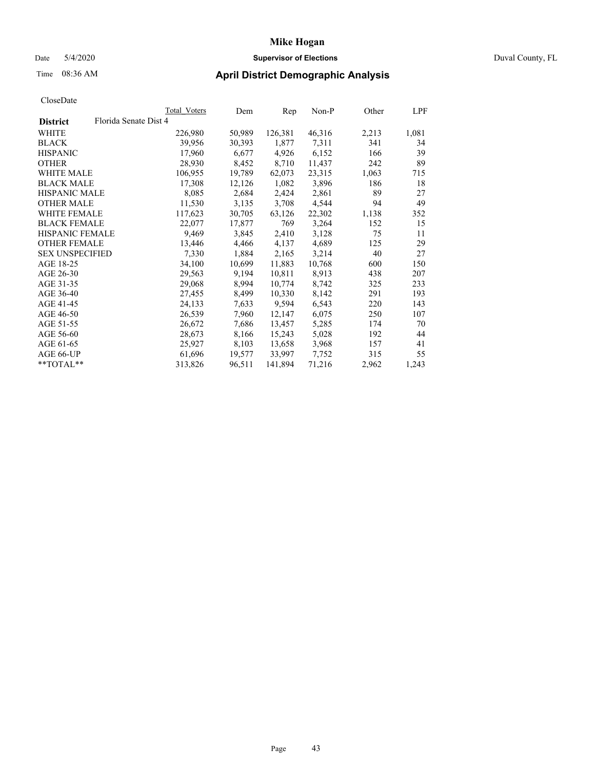# Date 5/4/2020 **Supervisor of Elections** Duval County, FL

# Time 08:36 AM **April District Demographic Analysis**

|                        | Total Voters          | Dem    | Rep     | Non-P  | Other | LPF   |
|------------------------|-----------------------|--------|---------|--------|-------|-------|
| <b>District</b>        | Florida Senate Dist 4 |        |         |        |       |       |
| WHITE                  | 226,980               | 50,989 | 126,381 | 46,316 | 2,213 | 1,081 |
| <b>BLACK</b>           | 39,956                | 30,393 | 1,877   | 7,311  | 341   | 34    |
| <b>HISPANIC</b>        | 17,960                | 6,677  | 4,926   | 6,152  | 166   | 39    |
| <b>OTHER</b>           | 28,930                | 8,452  | 8,710   | 11,437 | 242   | 89    |
| WHITE MALE             | 106,955               | 19,789 | 62,073  | 23,315 | 1,063 | 715   |
| <b>BLACK MALE</b>      | 17,308                | 12,126 | 1,082   | 3,896  | 186   | 18    |
| <b>HISPANIC MALE</b>   | 8,085                 | 2,684  | 2,424   | 2,861  | 89    | 27    |
| <b>OTHER MALE</b>      | 11,530                | 3,135  | 3,708   | 4,544  | 94    | 49    |
| <b>WHITE FEMALE</b>    | 117,623               | 30,705 | 63,126  | 22,302 | 1,138 | 352   |
| <b>BLACK FEMALE</b>    | 22,077                | 17,877 | 769     | 3,264  | 152   | 15    |
| <b>HISPANIC FEMALE</b> | 9,469                 | 3,845  | 2,410   | 3,128  | 75    | 11    |
| <b>OTHER FEMALE</b>    | 13,446                | 4,466  | 4,137   | 4,689  | 125   | 29    |
| <b>SEX UNSPECIFIED</b> | 7,330                 | 1,884  | 2,165   | 3,214  | 40    | 27    |
| AGE 18-25              | 34,100                | 10,699 | 11,883  | 10,768 | 600   | 150   |
| AGE 26-30              | 29,563                | 9,194  | 10,811  | 8,913  | 438   | 207   |
| AGE 31-35              | 29,068                | 8,994  | 10,774  | 8,742  | 325   | 233   |
| AGE 36-40              | 27,455                | 8,499  | 10,330  | 8,142  | 291   | 193   |
| AGE 41-45              | 24,133                | 7,633  | 9,594   | 6,543  | 220   | 143   |
| AGE 46-50              | 26,539                | 7,960  | 12,147  | 6,075  | 250   | 107   |
| AGE 51-55              | 26,672                | 7,686  | 13,457  | 5,285  | 174   | 70    |
| AGE 56-60              | 28,673                | 8,166  | 15,243  | 5,028  | 192   | 44    |
| AGE 61-65              | 25,927                | 8,103  | 13,658  | 3,968  | 157   | 41    |
| AGE 66-UP              | 61,696                | 19,577 | 33,997  | 7,752  | 315   | 55    |
| $*$ TOTAL $*$          | 313,826               | 96,511 | 141,894 | 71,216 | 2,962 | 1,243 |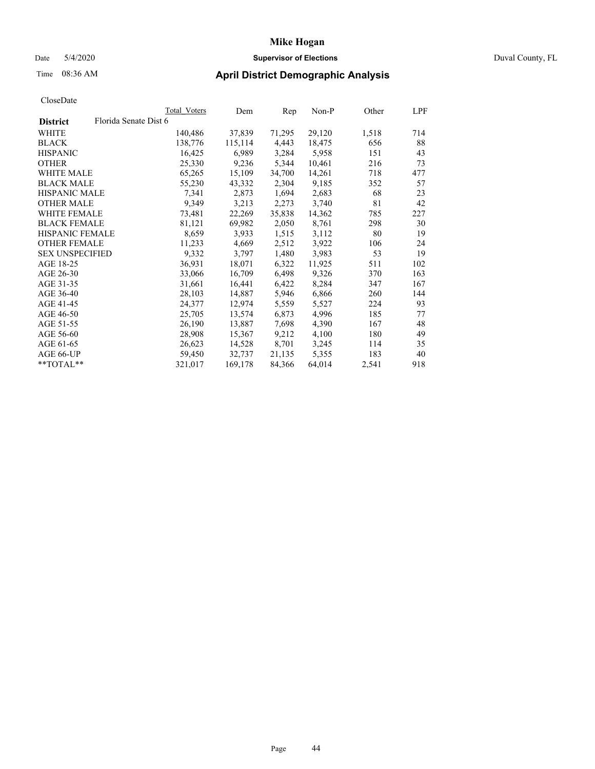# Date 5/4/2020 **Supervisor of Elections** Duval County, FL

# Time 08:36 AM **April District Demographic Analysis**

|                       | Dem     | Rep    | Non-P  | Other | LPF                 |
|-----------------------|---------|--------|--------|-------|---------------------|
| Florida Senate Dist 6 |         |        |        |       |                     |
| 140,486               | 37,839  | 71,295 | 29,120 | 1,518 | 714                 |
| 138,776               | 115,114 | 4,443  | 18,475 | 656   | 88                  |
| 16,425                | 6,989   | 3,284  | 5,958  | 151   | 43                  |
| 25,330                | 9,236   | 5,344  | 10,461 | 216   | 73                  |
| 65,265                | 15,109  | 34,700 | 14,261 | 718   | 477                 |
| 55,230                | 43,332  | 2,304  | 9,185  | 352   | 57                  |
| 7.341                 | 2,873   | 1,694  | 2,683  | 68    | 23                  |
| 9,349                 | 3,213   | 2,273  | 3,740  | 81    | 42                  |
| 73,481                | 22,269  | 35,838 | 14,362 | 785   | 227                 |
| 81,121                | 69,982  | 2,050  | 8,761  | 298   | 30                  |
| 8,659                 | 3,933   | 1,515  | 3,112  | 80    | 19                  |
| 11,233                | 4,669   | 2,512  | 3,922  | 106   | 24                  |
| 9,332                 | 3,797   | 1,480  | 3,983  | 53    | 19                  |
| 36,931                | 18,071  | 6,322  | 11,925 | 511   | 102                 |
| 33,066                | 16,709  | 6,498  | 9,326  | 370   | 163                 |
| 31,661                | 16,441  | 6,422  | 8,284  | 347   | 167                 |
| 28,103                | 14,887  | 5,946  | 6,866  | 260   | 144                 |
| 24,377                | 12,974  | 5,559  | 5,527  | 224   | 93                  |
| 25,705                | 13,574  | 6,873  | 4,996  | 185   | 77                  |
| 26,190                | 13,887  | 7,698  | 4,390  | 167   | 48                  |
| 28,908                | 15,367  | 9,212  | 4,100  | 180   | 49                  |
| 26,623                | 14,528  | 8,701  | 3,245  | 114   | 35                  |
| 59,450                | 32,737  | 21,135 | 5,355  | 183   | 40                  |
| 321,017               | 169,178 | 84,366 | 64,014 | 2,541 | 918                 |
|                       |         |        |        |       | <b>Total Voters</b> |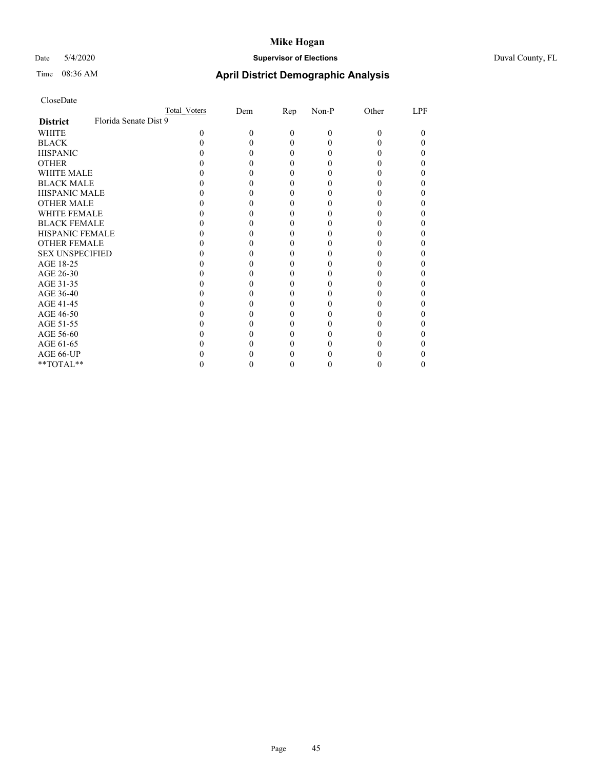# Date 5/4/2020 **Supervisor of Elections** Duval County, FL

# Time 08:36 AM **April District Demographic Analysis**

|                                          | <b>Total Voters</b> | Dem | Rep      | Non-P | Other | LPF |
|------------------------------------------|---------------------|-----|----------|-------|-------|-----|
| Florida Senate Dist 9<br><b>District</b> |                     |     |          |       |       |     |
| WHITE                                    | $\Omega$            | 0   | $\Omega$ | 0     | 0     | 0   |
| <b>BLACK</b>                             |                     |     | 0        |       |       | 0   |
| <b>HISPANIC</b>                          |                     |     | $\theta$ |       |       | 0   |
| <b>OTHER</b>                             |                     |     |          |       |       |     |
| WHITE MALE                               |                     |     |          |       |       |     |
| <b>BLACK MALE</b>                        |                     |     |          |       |       |     |
| <b>HISPANIC MALE</b>                     |                     |     |          |       |       |     |
| <b>OTHER MALE</b>                        |                     |     |          |       |       |     |
| <b>WHITE FEMALE</b>                      |                     |     |          |       |       |     |
| <b>BLACK FEMALE</b>                      |                     |     | 0        |       |       |     |
| HISPANIC FEMALE                          |                     |     |          |       |       |     |
| <b>OTHER FEMALE</b>                      |                     |     |          |       |       |     |
| <b>SEX UNSPECIFIED</b>                   |                     |     |          |       |       |     |
| AGE 18-25                                |                     |     |          |       |       |     |
| AGE 26-30                                |                     |     |          |       |       |     |
| AGE 31-35                                |                     |     |          |       |       |     |
| AGE 36-40                                |                     |     | 0        |       |       | 0   |
| AGE 41-45                                |                     |     |          |       |       |     |
| AGE 46-50                                |                     |     |          |       |       |     |
| AGE 51-55                                |                     |     |          |       |       |     |
| AGE 56-60                                |                     |     |          |       |       |     |
| AGE 61-65                                |                     |     |          |       |       |     |
| AGE 66-UP                                |                     |     |          |       |       |     |
| $**TOTAL**$                              |                     |     | 0        |       | 0     | 0   |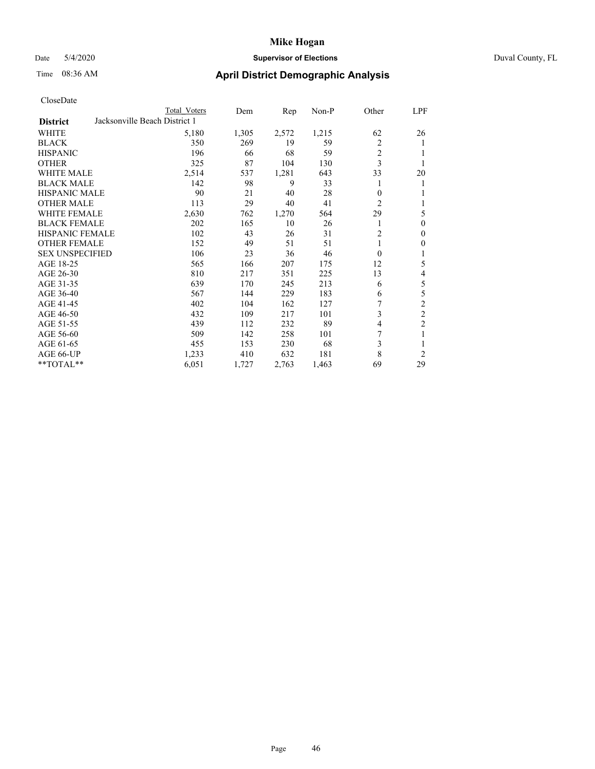# Date 5/4/2020 **Supervisor of Elections** Duval County, FL

# Time 08:36 AM **April District Demographic Analysis**

|                        |                               | Total Voters | Dem   | Rep   | Non-P | Other          | LPF            |
|------------------------|-------------------------------|--------------|-------|-------|-------|----------------|----------------|
| <b>District</b>        | Jacksonville Beach District 1 |              |       |       |       |                |                |
| WHITE                  |                               | 5,180        | 1,305 | 2,572 | 1,215 | 62             | 26             |
| <b>BLACK</b>           |                               | 350          | 269   | 19    | 59    | 2              | 1              |
| <b>HISPANIC</b>        |                               | 196          | 66    | 68    | 59    | $\overline{c}$ |                |
| <b>OTHER</b>           |                               | 325          | 87    | 104   | 130   | 3              |                |
| WHITE MALE             |                               | 2,514        | 537   | 1,281 | 643   | 33             | 20             |
| <b>BLACK MALE</b>      |                               | 142          | 98    | 9     | 33    |                |                |
| <b>HISPANIC MALE</b>   |                               | 90           | 21    | 40    | 28    | 0              |                |
| <b>OTHER MALE</b>      |                               | 113          | 29    | 40    | 41    | $\overline{c}$ | 1              |
| WHITE FEMALE           |                               | 2,630        | 762   | 1,270 | 564   | 29             | 5              |
| <b>BLACK FEMALE</b>    |                               | 202          | 165   | 10    | 26    |                | 0              |
| <b>HISPANIC FEMALE</b> |                               | 102          | 43    | 26    | 31    | $\overline{2}$ | 0              |
| <b>OTHER FEMALE</b>    |                               | 152          | 49    | 51    | 51    | 1              | 0              |
| <b>SEX UNSPECIFIED</b> |                               | 106          | 23    | 36    | 46    | $\Omega$       |                |
| AGE 18-25              |                               | 565          | 166   | 207   | 175   | 12             | 5              |
| AGE 26-30              |                               | 810          | 217   | 351   | 225   | 13             | 4              |
| AGE 31-35              |                               | 639          | 170   | 245   | 213   | 6              | 5              |
| AGE 36-40              |                               | 567          | 144   | 229   | 183   | 6              | 5              |
| AGE 41-45              |                               | 402          | 104   | 162   | 127   |                | $\overline{c}$ |
| AGE 46-50              |                               | 432          | 109   | 217   | 101   | 3              | $\overline{c}$ |
| AGE 51-55              |                               | 439          | 112   | 232   | 89    | 4              | $\overline{2}$ |
| AGE 56-60              |                               | 509          | 142   | 258   | 101   | 7              |                |
| AGE 61-65              |                               | 455          | 153   | 230   | 68    | 3              |                |
| AGE 66-UP              |                               | 1,233        | 410   | 632   | 181   | 8              | $\overline{c}$ |
| $**TOTAL**$            |                               | 6,051        | 1,727 | 2,763 | 1,463 | 69             | 29             |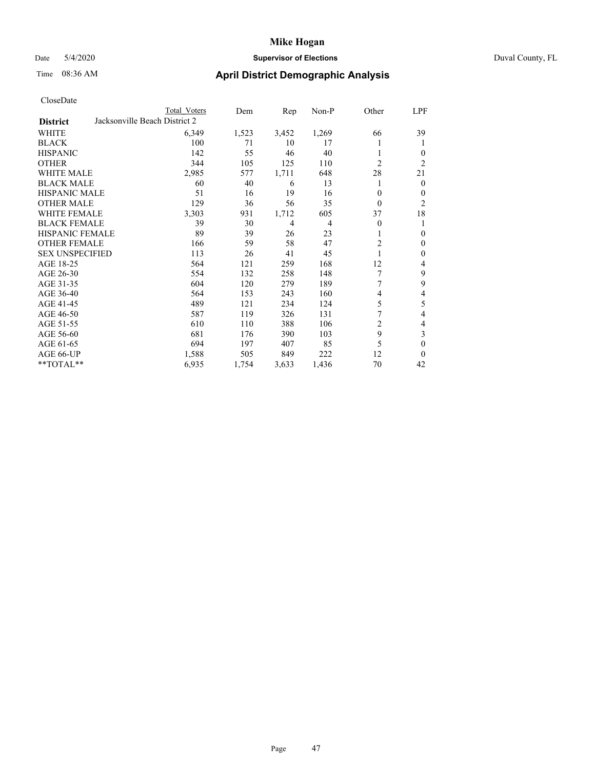# Date 5/4/2020 **Supervisor of Elections** Duval County, FL

# Time 08:36 AM **April District Demographic Analysis**

|                        |                               | Total Voters | Dem   | Rep   | Non-P          | Other          | LPF            |
|------------------------|-------------------------------|--------------|-------|-------|----------------|----------------|----------------|
| <b>District</b>        | Jacksonville Beach District 2 |              |       |       |                |                |                |
| WHITE                  |                               | 6,349        | 1,523 | 3,452 | 1,269          | 66             | 39             |
| <b>BLACK</b>           |                               | 100          | 71    | 10    | 17             |                | 1              |
| <b>HISPANIC</b>        |                               | 142          | 55    | 46    | 40             |                | $\theta$       |
| <b>OTHER</b>           |                               | 344          | 105   | 125   | 110            | $\overline{2}$ | $\overline{2}$ |
| WHITE MALE             |                               | 2,985        | 577   | 1,711 | 648            | 28             | 21             |
| <b>BLACK MALE</b>      |                               | 60           | 40    | 6     | 13             | 1              | $\theta$       |
| <b>HISPANIC MALE</b>   |                               | 51           | 16    | 19    | 16             | 0              | $\mathbf{0}$   |
| <b>OTHER MALE</b>      |                               | 129          | 36    | 56    | 35             | $\theta$       | $\overline{2}$ |
| WHITE FEMALE           |                               | 3,303        | 931   | 1,712 | 605            | 37             | 18             |
| <b>BLACK FEMALE</b>    |                               | 39           | 30    | 4     | $\overline{4}$ | 0              | 1              |
| <b>HISPANIC FEMALE</b> |                               | 89           | 39    | 26    | 23             |                | $\theta$       |
| <b>OTHER FEMALE</b>    |                               | 166          | 59    | 58    | 47             | $\overline{2}$ | $\theta$       |
| <b>SEX UNSPECIFIED</b> |                               | 113          | 26    | 41    | 45             |                | $\mathbf{0}$   |
| AGE 18-25              |                               | 564          | 121   | 259   | 168            | 12             | 4              |
| AGE 26-30              |                               | 554          | 132   | 258   | 148            | 7              | 9              |
| AGE 31-35              |                               | 604          | 120   | 279   | 189            | 7              | 9              |
| AGE 36-40              |                               | 564          | 153   | 243   | 160            | 4              | 4              |
| AGE 41-45              |                               | 489          | 121   | 234   | 124            | 5              | 5              |
| AGE 46-50              |                               | 587          | 119   | 326   | 131            | 7              | 4              |
| AGE 51-55              |                               | 610          | 110   | 388   | 106            | $\overline{c}$ | 4              |
| AGE 56-60              |                               | 681          | 176   | 390   | 103            | 9              | 3              |
| AGE 61-65              |                               | 694          | 197   | 407   | 85             | 5              | $\mathbf{0}$   |
| AGE 66-UP              |                               | 1,588        | 505   | 849   | 222            | 12             | $\theta$       |
| **TOTAL**              |                               | 6,935        | 1,754 | 3,633 | 1,436          | 70             | 42             |